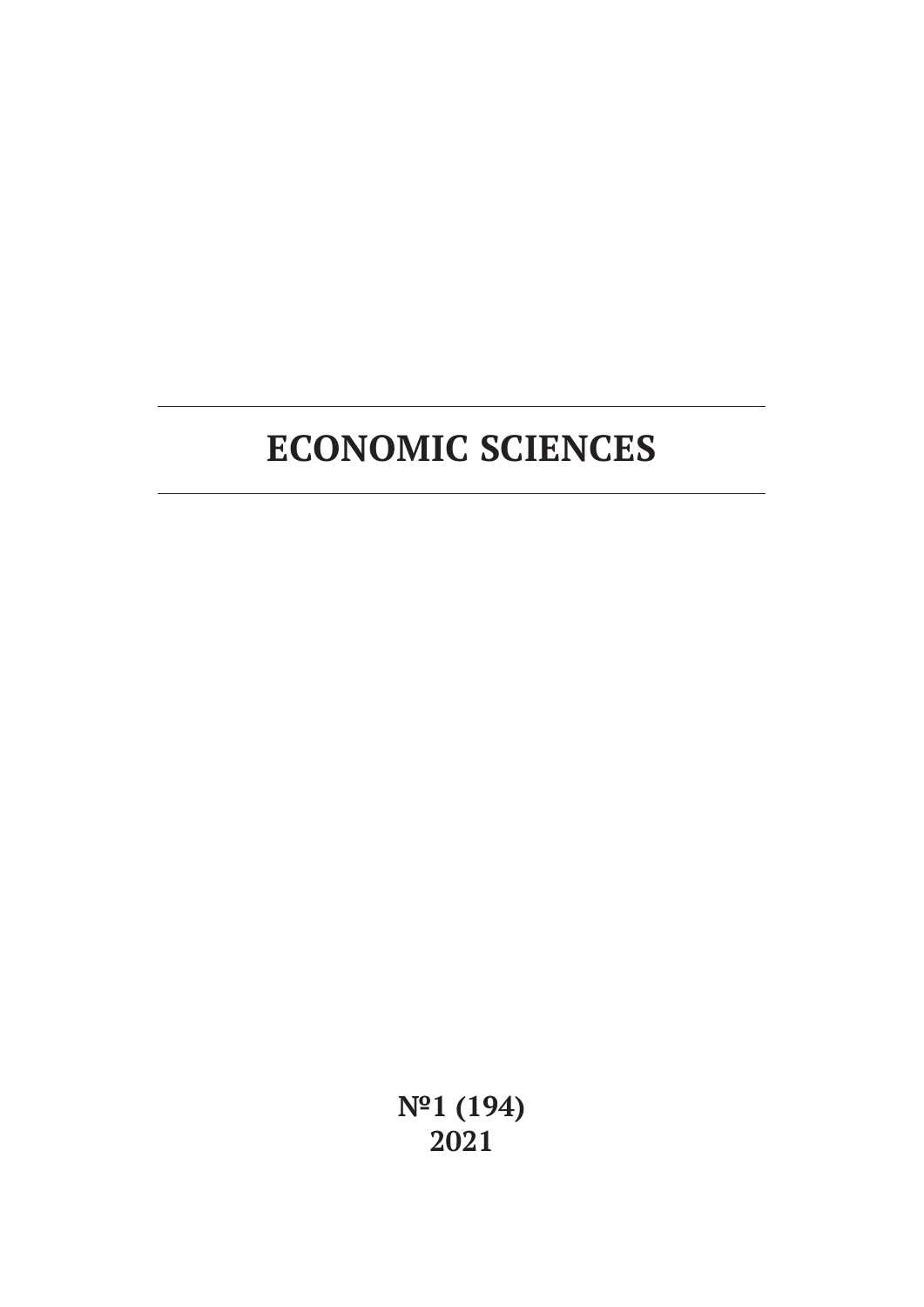**№1 (194) 2021**

# **ECONOMIC SCIENCES**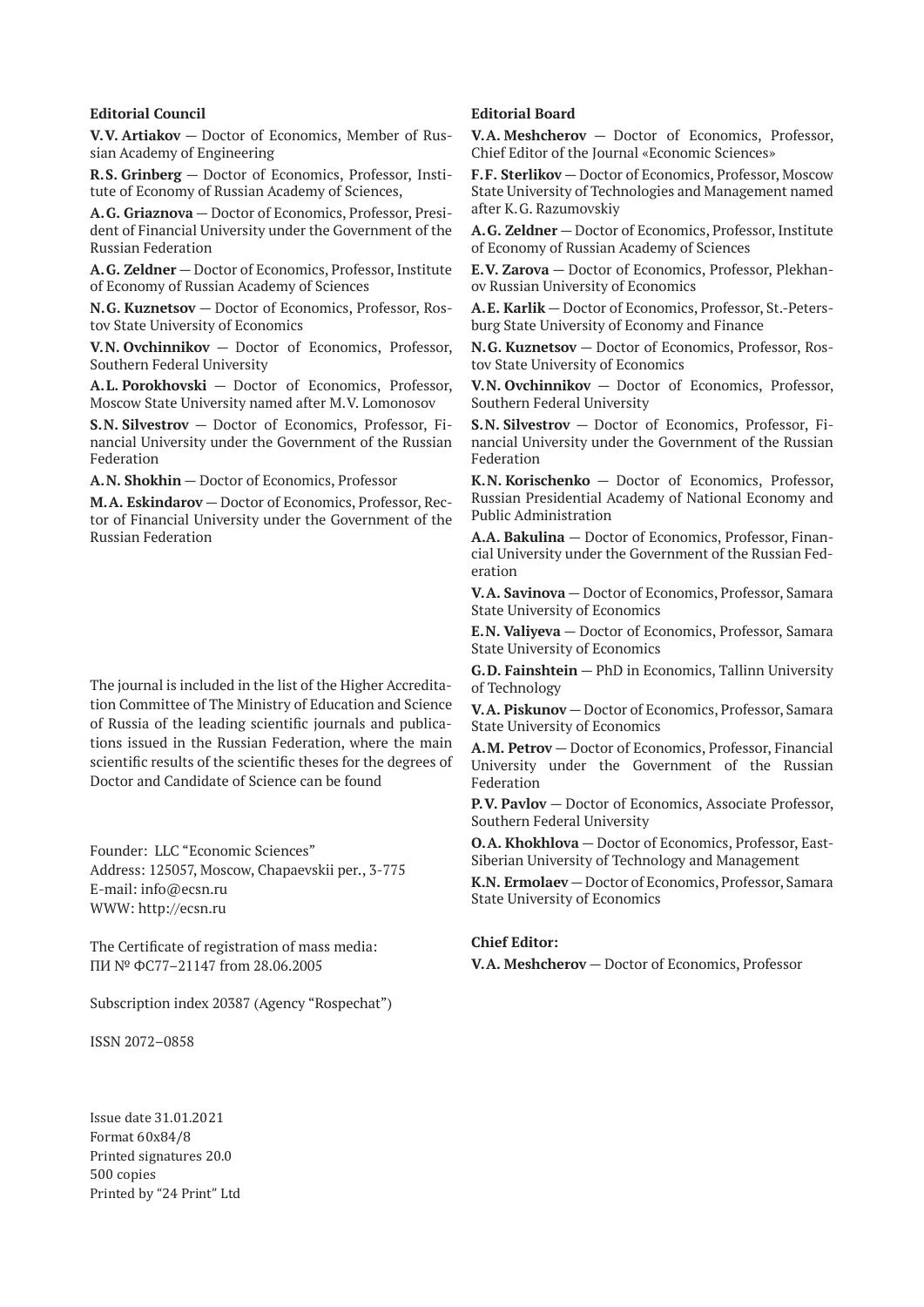#### **Editorial Council**

**V.V. Artiakov** — Doctor of Economics, Member of Russian Academy of Engineering

**R.S. Grinberg** — Doctor of Economics, Professor, Institute of Economy of Russian Academy of Sciences,

**A.G. Griaznova** — Doctor of Economics, Professor, President of Financial University under the Government of the Russian Federation

**A.G. Zeldner** — Doctor of Economics, Professor, Institute of Economy of Russian Academy of Sciences

**N.G. Kuznetsov** — Doctor of Economics, Professor, Rostov State University of Economics

**V.N. Ovchinnikov** — Doctor of Economics, Professor, Southern Federal University

**A.L. Porokhovski** — Doctor of Economics, Professor, Moscow State University named after M.V. Lomonosov

**S.N. Silvestrov** — Doctor of Economics, Professor, Financial University under the Government of the Russian Federation

**A.N. Shokhin** — Doctor of Economics, Professor

**M.A. Eskindarov** — Doctor of Economics, Professor, Rector of Financial University under the Government of the Russian Federation

The journal is included in the list of the Higher Accreditation Committee of The Ministry of Education and Science of Russia of the leading scientific journals and publications issued in the Russian Federation, where the main scientific results of the scientific theses for the degrees of Doctor and Candidate of Science can be found

Founder: LLC "Economic Sciences" Address: 125057, Moscow, Chapaevskii per., 3-775 E-mail: info@ecsn.ru WWW: http://ecsn.ru

The Certificate of registration of mass media: ПИ № ФС77–21147 from 28.06.2005

Subscription index 20387 (Agency "Rospechat")

ISSN 2072–0858

Issue date 31.01.2021 Format 60х84/8 Printed signatures 20.0 500 copies Printed by "24 Print" Ltd

#### **Editorial Board**

**V.A. Meshcherov** — Doctor of Economics, Professor, Chief Editor of the Journal «Economic Sciences»

**F.F. Sterlikov** — Doctor of Economics, Professor, Moscow State University of Technologies and Management named after K.G. Razumovskiy

**A.G. Zeldner** — Doctor of Economics, Professor, Institute of Economy of Russian Academy of Sciences

**E.V. Zarova** — Doctor of Economics, Professor, Plekhanov Russian University of Economics

**A.E. Karlik** — Doctor of Economics, Professor, St.-Petersburg State University of Economy and Finance

**N.G. Kuznetsov** — Doctor of Economics, Professor, Rostov State University of Economics

**V.N. Ovchinnikov** — Doctor of Economics, Professor, Southern Federal University

**S.N. Silvestrov** — Doctor of Economics, Professor, Financial University under the Government of the Russian Federation

**K.N. Korischenko** — Doctor of Economics, Professor, Russian Presidential Academy of National Economy and Public Administration

**A.A. Bakulina** — Doctor of Economics, Professor, Financial University under the Government of the Russian Federation

**V.A. Savinova** — Doctor of Economics, Professor, Samara State University of Economics

**E.N. Valiyeva** — Doctor of Economics, Professor, Samara State University of Economics

**G.D. Fainshtein** — PhD in Economics, Tallinn University of Technology

**V.A. Piskunov** — Doctor of Economics, Professor, Samara State University of Economics

**A.M. Petrov** — Doctor of Economics, Professor, Financial University under the Government of the Russian Federation

**P.V. Pavlov** — Doctor of Economics, Associate Professor, Southern Federal University

**O.A. Khokhlova** — Doctor of Economics, Professor, East-Siberian University of Technology and Management

**K.N. Ermolaev** — Doctor of Economics, Professor, Samara State University of Economics

#### **Chief Editor:**

**V.A. Meshcherov** — Doctor of Economics, Professor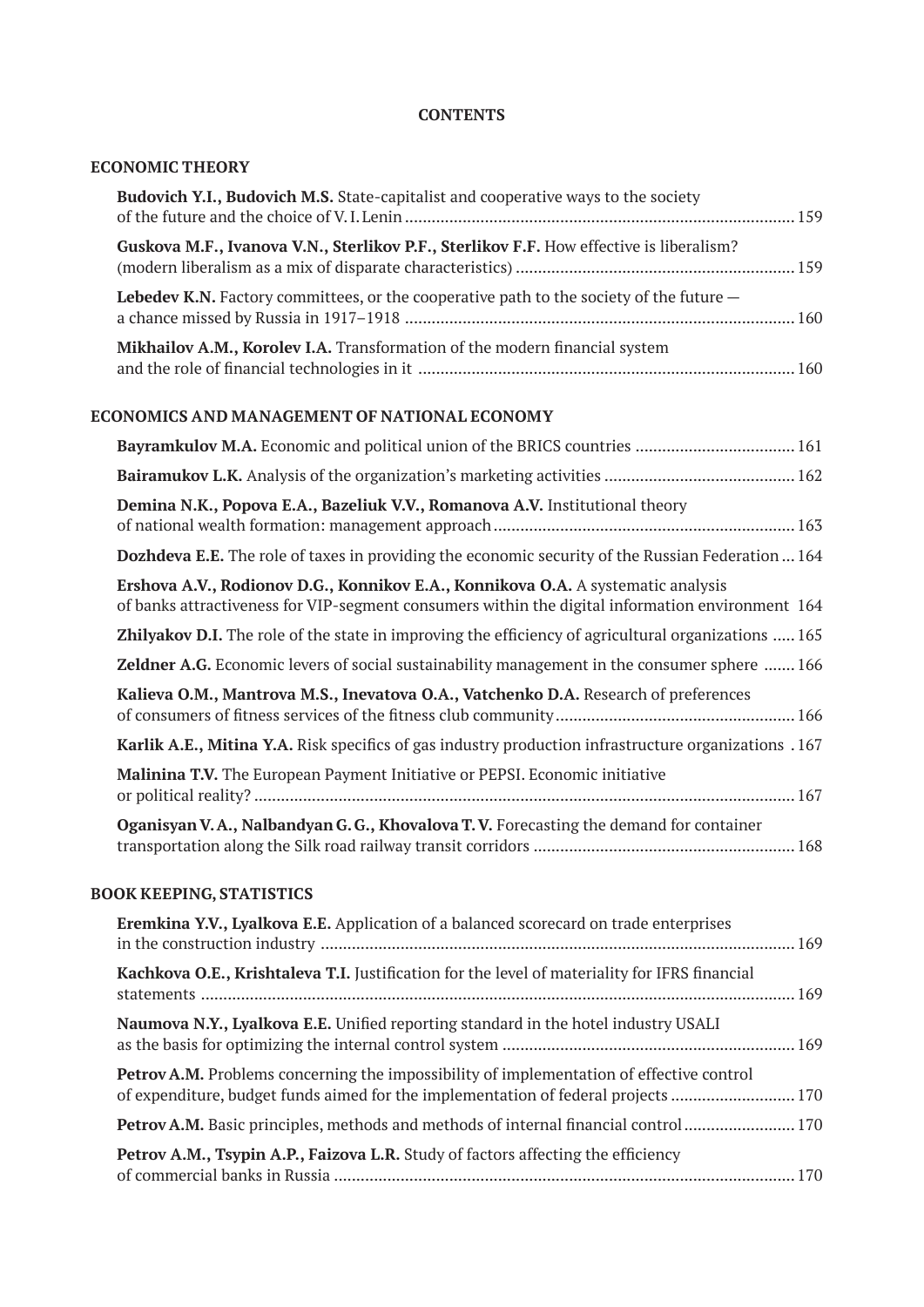# **CONTENTS**

### **ECONOMIC THEORY**

| <b>Budovich Y.I., Budovich M.S.</b> State-capitalist and cooperative ways to the society                                                                                             |
|--------------------------------------------------------------------------------------------------------------------------------------------------------------------------------------|
| Guskova M.F., Ivanova V.N., Sterlikov P.F., Sterlikov F.F. How effective is liberalism?                                                                                              |
| Lebedev K.N. Factory committees, or the cooperative path to the society of the future $-$                                                                                            |
| Mikhailov A.M., Korolev I.A. Transformation of the modern financial system                                                                                                           |
| ECONOMICS AND MANAGEMENT OF NATIONAL ECONOMY                                                                                                                                         |
|                                                                                                                                                                                      |
|                                                                                                                                                                                      |
| Demina N.K., Popova E.A., Bazeliuk V.V., Romanova A.V. Institutional theory                                                                                                          |
| Dozhdeva E.E. The role of taxes in providing the economic security of the Russian Federation  164                                                                                    |
| Ershova A.V., Rodionov D.G., Konnikov E.A., Konnikova O.A. A systematic analysis<br>of banks attractiveness for VIP-segment consumers within the digital information environment 164 |
| <b>Zhilyakov D.I.</b> The role of the state in improving the efficiency of agricultural organizations  165                                                                           |
| <b>Zeldner A.G.</b> Economic levers of social sustainability management in the consumer sphere  166                                                                                  |
| Kalieva O.M., Mantrova M.S., Inevatova O.A., Vatchenko D.A. Research of preferences                                                                                                  |
| Karlik A.E., Mitina Y.A. Risk specifics of gas industry production infrastructure organizations .167                                                                                 |
| Malinina T.V. The European Payment Initiative or PEPSI. Economic initiative                                                                                                          |
| Oganisyan V.A., Nalbandyan G.G., Khovalova T.V. Forecasting the demand for container                                                                                                 |

# **BOOK KEEPING, STATISTICS**

| Eremkina Y.V., Lyalkova E.E. Application of a balanced scorecard on trade enterprises                                                                                            |  |
|----------------------------------------------------------------------------------------------------------------------------------------------------------------------------------|--|
| Kachkova O.E., Krishtaleva T.I. Justification for the level of materiality for IFRS financial                                                                                    |  |
| Naumova N.Y., Lyalkova E.E. Unified reporting standard in the hotel industry USALI                                                                                               |  |
| <b>Petrov A.M.</b> Problems concerning the impossibility of implementation of effective control<br>of expenditure, budget funds aimed for the implementation of federal projects |  |
| <b>Petrov A.M.</b> Basic principles, methods and methods of internal financial control  170                                                                                      |  |
| Petrov A.M., Tsypin A.P., Faizova L.R. Study of factors affecting the efficiency                                                                                                 |  |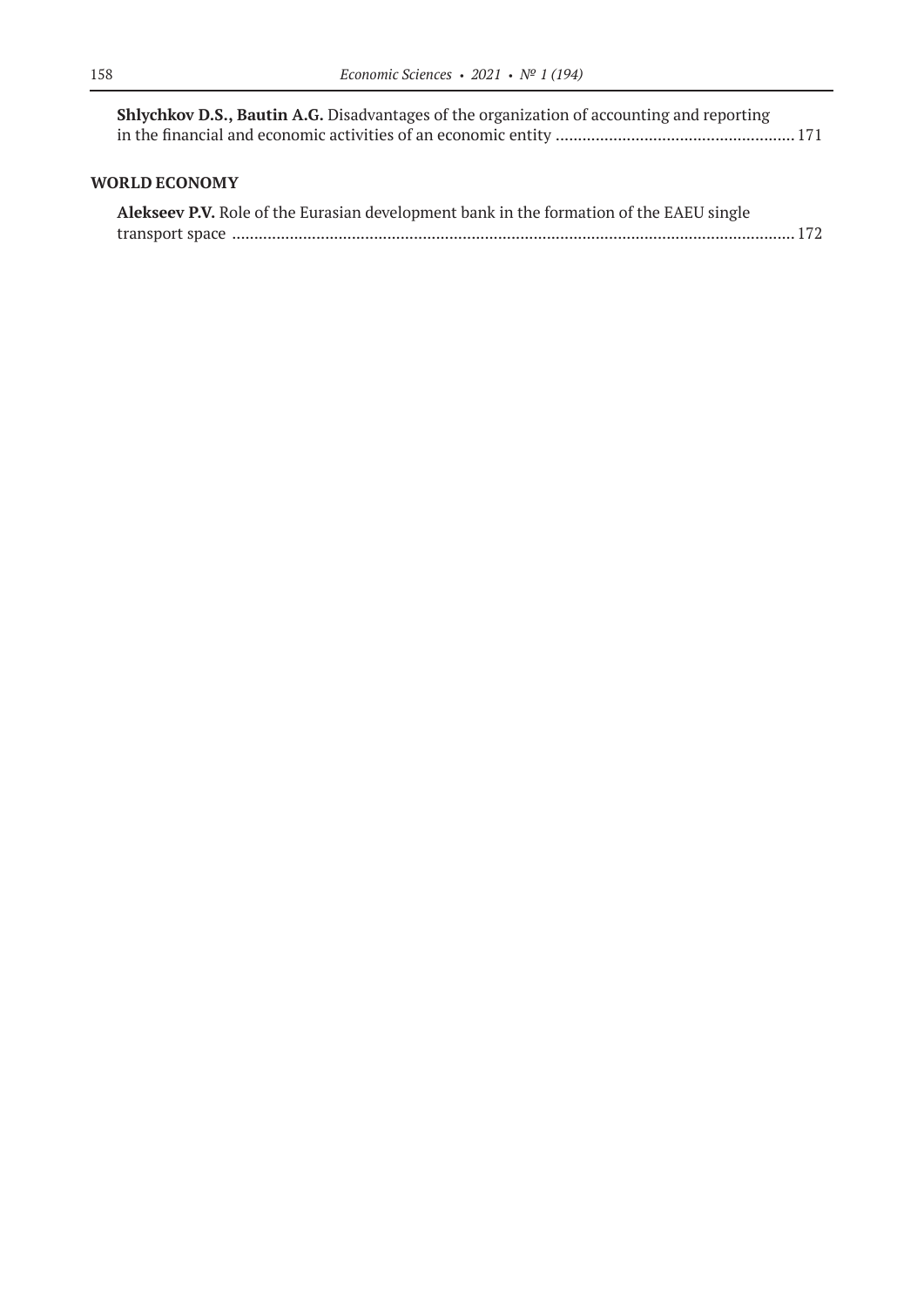| <b>Shlychkov D.S., Bautin A.G.</b> Disadvantages of the organization of accounting and reporting |  |
|--------------------------------------------------------------------------------------------------|--|
|                                                                                                  |  |

### **WORLD ECONOMY**

| Alekseev P.V. Role of the Eurasian development bank in the formation of the EAEU single |  |
|-----------------------------------------------------------------------------------------|--|
|                                                                                         |  |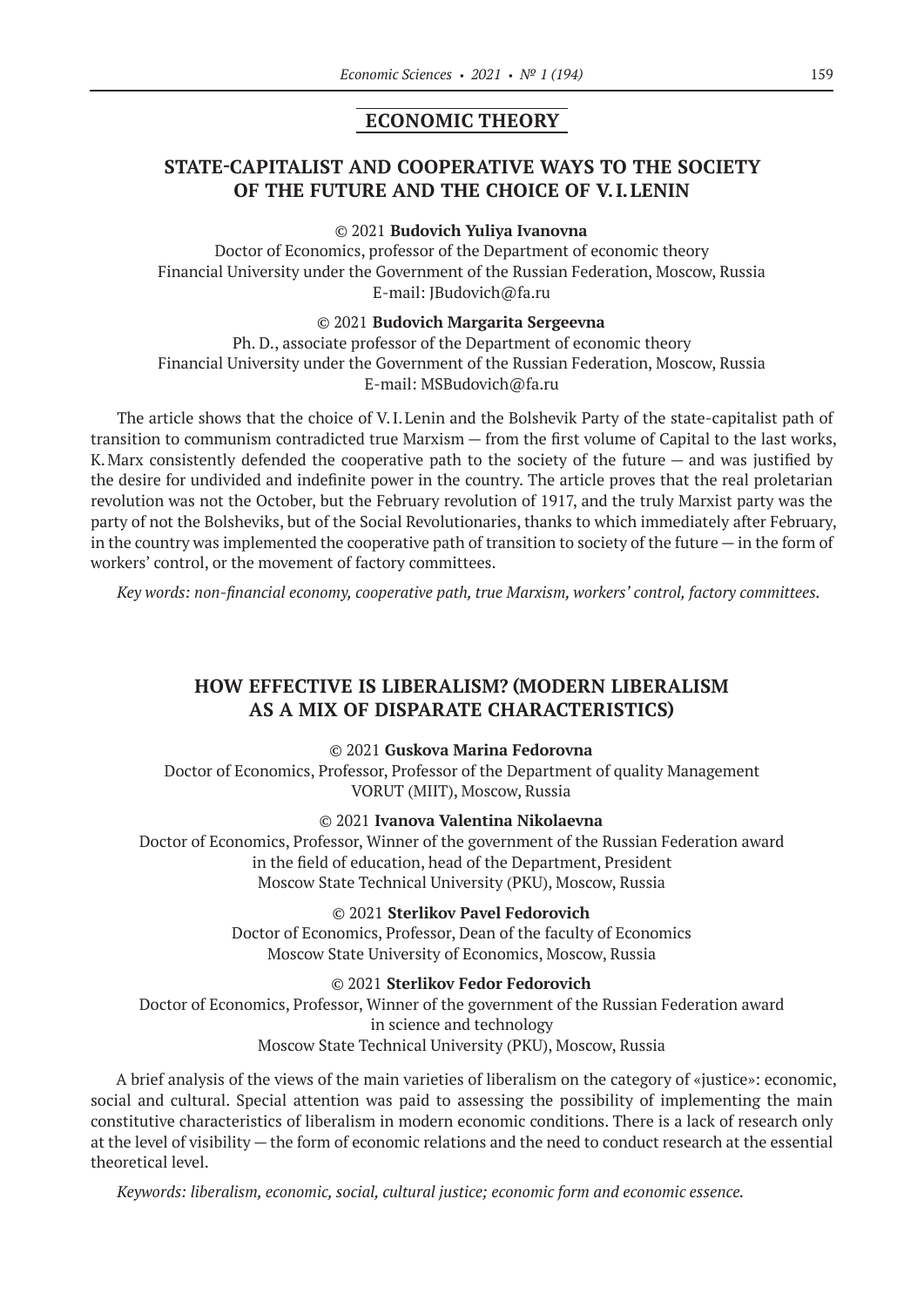### **ECONOMIC THEORY**

# **STATE-CAPITALIST AND COOPERATIVE WAYS TO THE SOCIETY OF THE FUTURE AND THE CHOICE OF V.I.LENIN**

#### © 2021 **Budovich Yuliya Ivanovna**

Doctor of Economics, professor of the Department of economic theory Financial University under the Government of the Russian Federation, Moscow, Russia E-mail: JBudovich@fa.ru

#### © 2021 **Budovich Margarita Sergeevna**

Ph. D., associate professor of the Department of economic theory Financial University under the Government of the Russian Federation, Moscow, Russia E-mail: MSBudovich@fa.ru

The article shows that the choice of V.I.Lenin and the Bolshevik Party of the state-capitalist path of transition to communism contradicted true Marxism — from the first volume of Capital to the last works, K.Marx consistently defended the cooperative path to the society of the future — and was justified by the desire for undivided and indefinite power in the country. The article proves that the real proletarian revolution was not the October, but the February revolution of 1917, and the truly Marxist party was the party of not the Bolsheviks, but of the Social Revolutionaries, thanks to which immediately after February, in the country was implemented the cooperative path of transition to society of the future  $-$  in the form of workers' control, or the movement of factory committees.

*Key words: non-financial economy, cooperative path, true Marxism, workers' control, factory committees.*

# **HOW EFFECTIVE IS LIBERALISM? (MODERN LIBERALISM AS A MIX OF DISPARATE CHARACTERISTICS)**

### © 2021 **Guskova Marina Fedorovna**

Doctor of Economics, Professor, Professor of the Department of quality Management VORUT (MIIT), Moscow, Russia

#### © 2021 **Ivanova Valentina Nikolaevna**

Doctor of Economics, Professor, Winner of the government of the Russian Federation award in the field of education, head of the Department, President Moscow State Technical University (PKU), Moscow, Russia

### © 2021 **Sterlikov Pavel Fedorovich**

Doctor of Economics, Professor, Dean of the faculty of Economics Moscow State University of Economics, Moscow, Russia

#### © 2021 **Sterlikov Fedor Fedorovich**

Doctor of Economics, Professor, Winner of the government of the Russian Federation award in science and technology Moscow State Technical University (PKU), Moscow, Russia

A brief analysis of the views of the main varieties of liberalism on the category of «justice»: economic, social and cultural. Special attention was paid to assessing the possibility of implementing the main constitutive characteristics of liberalism in modern economic conditions. There is a lack of research only at the level of visibility — the form of economic relations and the need to conduct research at the essential theoretical level.

*Keywords: liberalism, economic, social, cultural justice; economic form and economic essence.*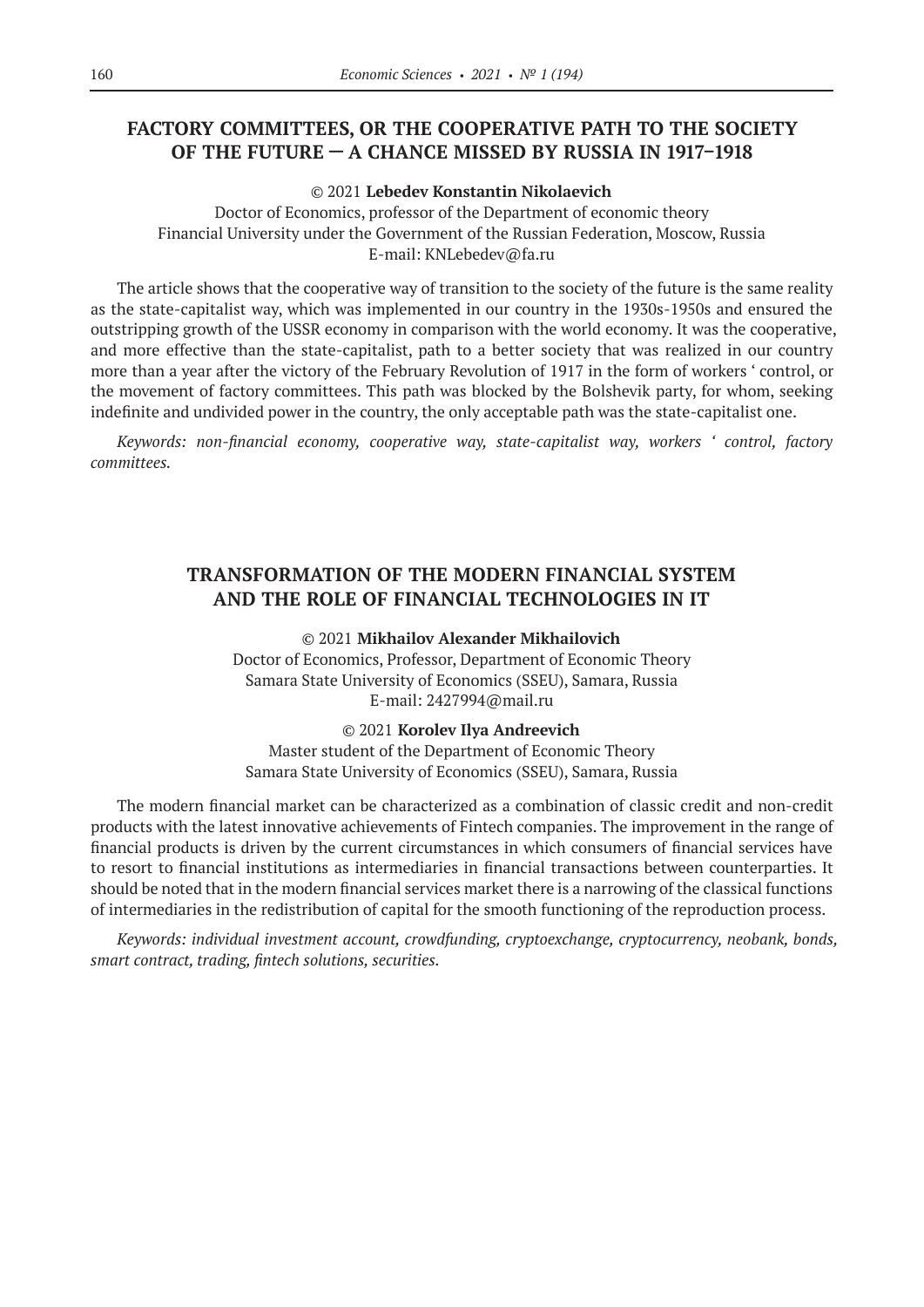# **FACTORY COMMITTEES, OR THE COOPERATIVE PATH TO THE SOCIETY OF THE FUTURE — A CHANCE MISSED BY RUSSIA IN 1917–1918**

© 2021 **Lebedev Konstantin Nikolaevich**

Doctor of Economics, professor of the Department of economic theory Financial University under the Government of the Russian Federation, Moscow, Russia E-mail: KNLebedev@fa.ru

The article shows that the cooperative way of transition to the society of the future is the same reality as the state-capitalist way, which was implemented in our country in the 1930s–1950s and ensured the outstripping growth of the USSR economy in comparison with the world economy. It was the cooperative, and more effective than the state-capitalist, path to a better society that was realized in our country more than a year after the victory of the February Revolution of 1917 in the form of workers ' control, or the movement of factory committees. This path was blocked by the Bolshevik party, for whom, seeking indefinite and undivided power in the country, the only acceptable path was the state-capitalist one.

*Keywords: non-financial economy, cooperative way, state-capitalist way, workers ' control, factory committees.*

# **TRANSFORMATION OF THE MODERN FINANCIAL SYSTEM AND THE ROLE OF FINANCIAL TECHNOLOGIES IN IT**

### © 2021 **Mikhailov Alexander Mikhailovich**

Doctor of Economics, Professor, Department of Economic Theory Samara State University of Economics (SSEU), Samara, Russia E-mail: 2427994@mail.ru

### © 2021 **Korolev Ilya Andreevich**

Master student of the Department of Economic Theory Samara State University of Economics (SSEU), Samara, Russia

The modern financial market can be characterized as a combination of classic credit and non-credit products with the latest innovative achievements of Fintech companies. The improvement in the range of financial products is driven by the current circumstances in which consumers of financial services have to resort to financial institutions as intermediaries in financial transactions between counterparties. It should be noted that in the modern financial services market there is a narrowing of the classical functions of intermediaries in the redistribution of capital for the smooth functioning of the reproduction process.

*Keywords: individual investment account, crowdfunding, cryptoexchange, cryptocurrency, neobank, bonds, smart contract, trading, fintech solutions, securities.*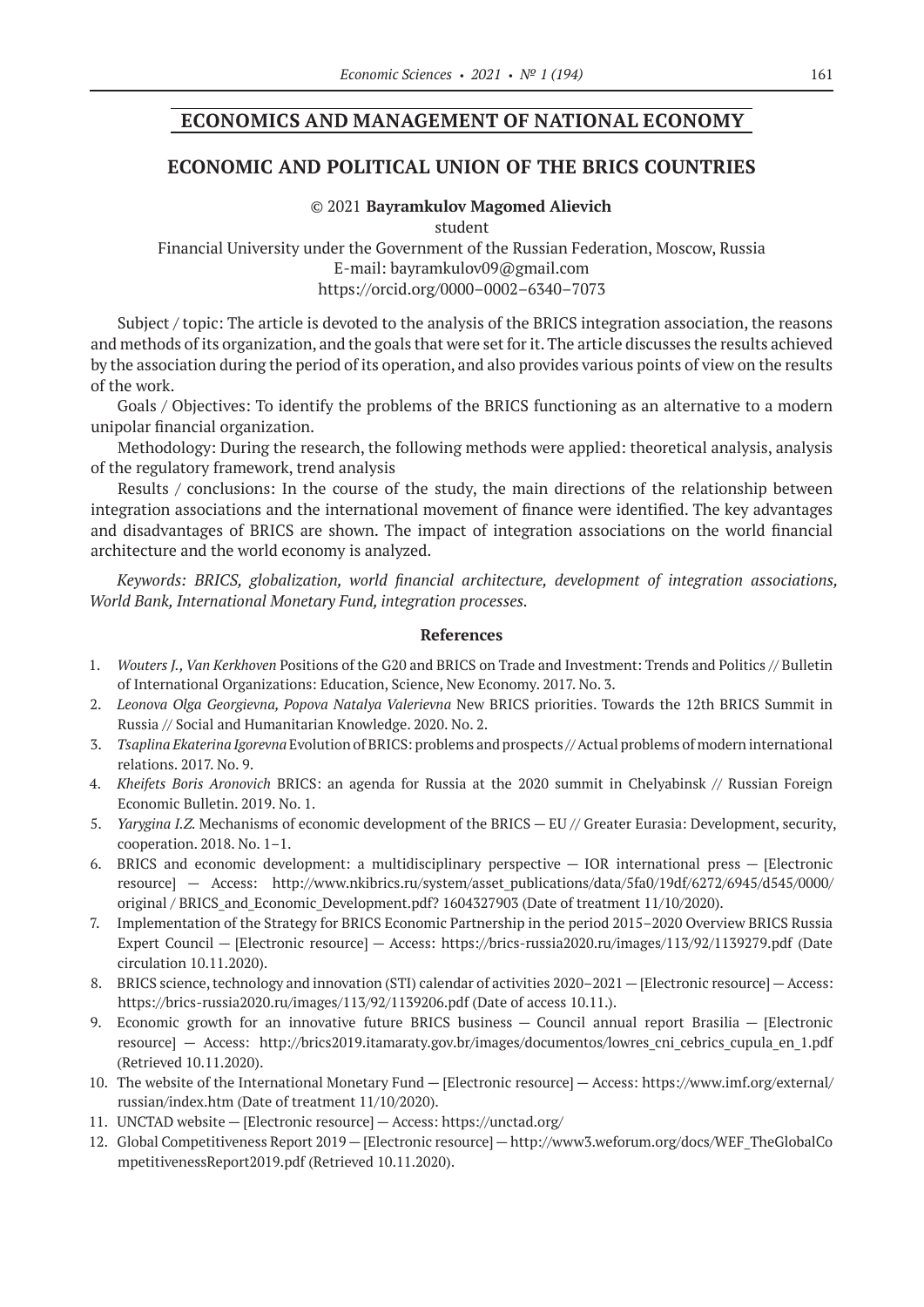### **ECONOMICS AND MANAGEMENT OF NATIONAL ECONOMY**

### **ECONOMIC AND POLITICAL UNION OF THE BRICS COUNTRIES**

#### © 2021 **Bayramkulov Magomed Alievich**

student

Financial University under the Government of the Russian Federation, Moscow, Russia E-mail: bayramkulov09@gmail.com https://orcid.org/0000–0002–6340–7073

Subject / topic: The article is devoted to the analysis of the BRICS integration association, the reasons and methods of its organization, and the goals that were set for it. The article discusses the results achieved by the association during the period of its operation, and also provides various points of view on the results of the work.

Goals / Objectives: To identify the problems of the BRICS functioning as an alternative to a modern unipolar financial organization.

Methodology: During the research, the following methods were applied: theoretical analysis, analysis of the regulatory framework, trend analysis

Results / conclusions: In the course of the study, the main directions of the relationship between integration associations and the international movement of finance were identified. The key advantages and disadvantages of BRICS are shown. The impact of integration associations on the world financial architecture and the world economy is analyzed.

*Keywords: BRICS, globalization, world financial architecture, development of integration associations, World Bank, International Monetary Fund, integration processes.*

- 1. *Wouters J., Van Kerkhoven* Positions of the G20 and BRICS on Trade and Investment: Trends and Politics // Bulletin of International Organizations: Education, Science, New Economy. 2017. No. 3.
- 2. *Leonova Olga Georgievna, Popova Natalya Valerievna* New BRICS priorities. Towards the 12th BRICS Summit in Russia // Social and Humanitarian Knowledge. 2020. No. 2.
- 3. *Tsaplina Ekaterina Igorevna* Evolution of BRICS: problems and prospects // Actual problems of modern international relations. 2017. No. 9.
- 4. *Kheifets Boris Aronovich* BRICS: an agenda for Russia at the 2020 summit in Chelyabinsk // Russian Foreign Economic Bulletin. 2019. No. 1.
- 5. *Yarygina I.Z.* Mechanisms of economic development of the BRICS EU // Greater Eurasia: Development, security, cooperation. 2018. No. 1–1.
- 6. BRICS and economic development: a multidisciplinary perspective IOR international press [Electronic resource] — Access: http://www.nkibrics.ru/system/asset\_publications/data/5fa0/19df/6272/6945/d545/0000/ original / BRICS\_and\_Economic\_Development.pdf? 1604327903 (Date of treatment 11/10/2020).
- 7. Implementation of the Strategy for BRICS Economic Partnership in the period 2015–2020 Overview BRICS Russia Expert Council — [Electronic resource] — Access: https://brics-russia2020.ru/images/113/92/1139279.pdf (Date circulation 10.11.2020).
- 8. BRICS science, technology and innovation (STI) calendar of activities 2020–2021 [Electronic resource] Access: https://brics-russia2020.ru/images/113/92/1139206.pdf (Date of access 10.11.).
- 9. Economic growth for an innovative future BRICS business Council annual report Brasilia [Electronic resource] — Access: http://brics2019.itamaraty.gov.br/images/documentos/lowres\_cni\_cebrics\_cupula\_en\_1.pdf (Retrieved 10.11.2020).
- 10. The website of the International Monetary Fund [Electronic resource] Access: https://www.imf.org/external/ russian/index.htm (Date of treatment 11/10/2020).
- 11. UNCTAD website [Electronic resource] Access: https://unctad.org/
- 12. Global Competitiveness Report 2019 [Electronic resource] http://www3.weforum.org/docs/WEF\_TheGlobalCo mpetitivenessReport2019.pdf (Retrieved 10.11.2020).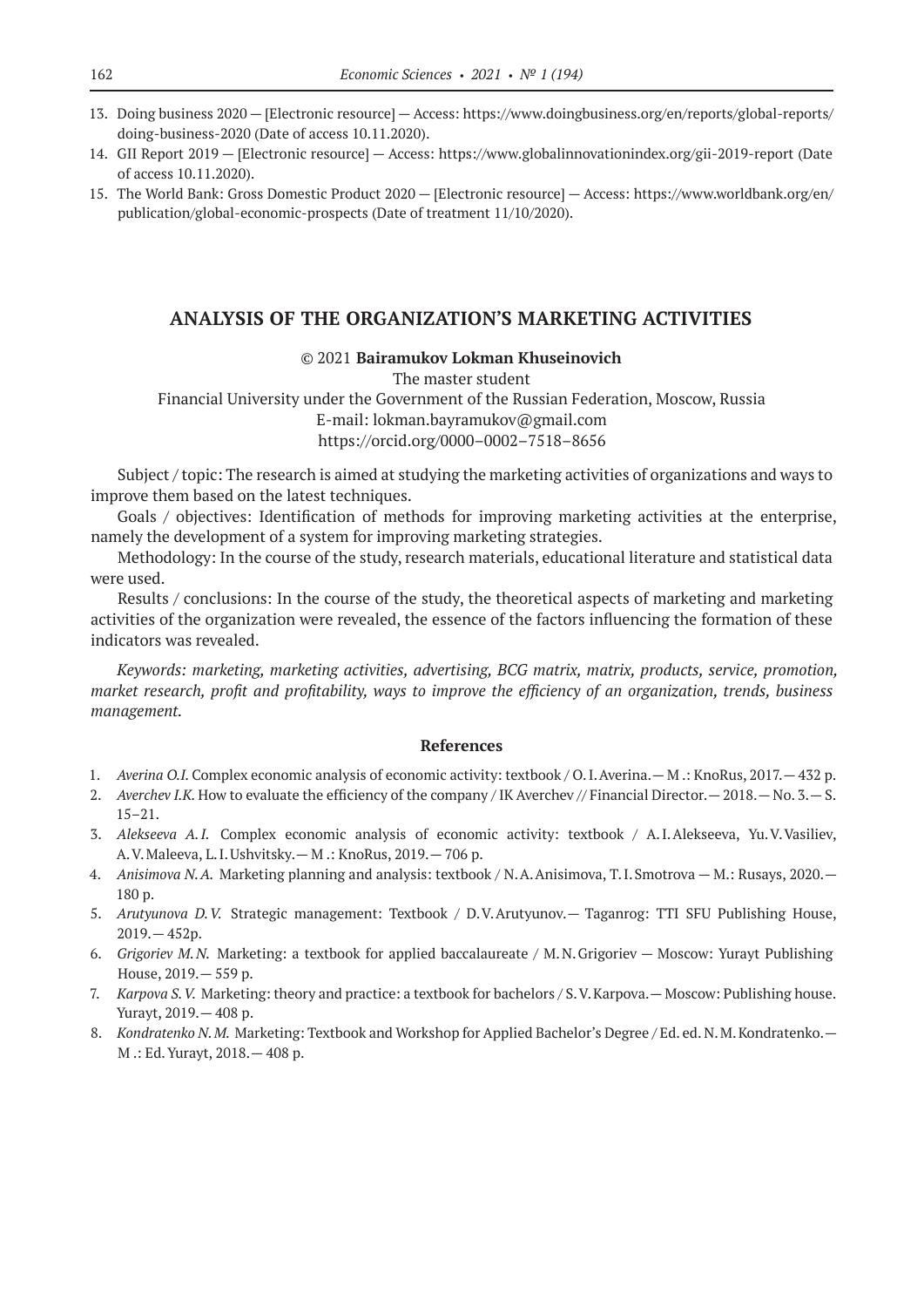- 13. Doing business 2020 [Electronic resource] Access: https://www.doingbusiness.org/en/reports/global-reports/ doing-business‑2020 (Date of access 10.11.2020).
- 14. GII Report 2019 [Electronic resource] Access: https://www.globalinnovationindex.org/gii‑2019‑report (Date of access 10.11.2020).
- 15. The World Bank: Gross Domestic Product 2020 [Electronic resource] Access: https://www.worldbank.org/en/ publication/global-economic-prospects (Date of treatment 11/10/2020).

### **ANALYSIS OF THE ORGANIZATION'S MARKETING ACTIVITIES**

#### © 2021 **Bairamukov Lokman Khuseinovich**

The master student Financial University under the Government of the Russian Federation, Moscow, Russia E-mail: lokman.bayramukov@gmail.com https://orcid.org/0000–0002–7518–8656

Subject / topic: The research is aimed at studying the marketing activities of organizations and ways to improve them based on the latest techniques.

Goals / objectives: Identification of methods for improving marketing activities at the enterprise, namely the development of a system for improving marketing strategies.

Methodology: In the course of the study, research materials, educational literature and statistical data were used.

Results / conclusions: In the course of the study, the theoretical aspects of marketing and marketing activities of the organization were revealed, the essence of the factors influencing the formation of these indicators was revealed.

*Keywords: marketing, marketing activities, advertising, BCG matrix, matrix, products, service, promotion, market research, profit and profitability, ways to improve the efficiency of an organization, trends, business management.*

- 1. *Averina O.I.* Complex economic analysis of economic activity: textbook / O.I.Averina.— M .: KnoRus, 2017.— 432 p.
- 2. *Averchev I.K.* How to evaluate the efficiency of the company / IK Averchev // Financial Director.— 2018.— No. 3.— S. 15–21.
- 3. *Alekseeva A.I.* Complex economic analysis of economic activity: textbook / A.I.Alekseeva, Yu.V.Vasiliev, A.V.Maleeva, L.I.Ushvitsky.— M .: KnoRus, 2019.— 706 p.
- 4. Anisimova N.A. Marketing planning and analysis: textbook / N.A. Anisimova, T.I. Smotrova M.: Rusays, 2020. -180 p.
- 5. *Arutyunova D.V.* Strategic management: Textbook / D.V.Arutyunov.— Taganrog: TTI SFU Publishing House, 2019.— 452p.
- 6. *Grigoriev M.N.* Marketing: a textbook for applied baccalaureate / M.N.Grigoriev Moscow: Yurayt Publishing House, 2019.— 559 p.
- 7. *Karpova S.V.* Marketing: theory and practice: a textbook for bachelors / S.V.Karpova.— Moscow: Publishing house. Yurayt, 2019.— 408 p.
- 8. *Kondratenko N.M. Marketing: Textbook and Workshop for Applied Bachelor's Degree / Ed. ed. N.M. Kondratenko. -*M .: Ed.Yurayt, 2018.— 408 p.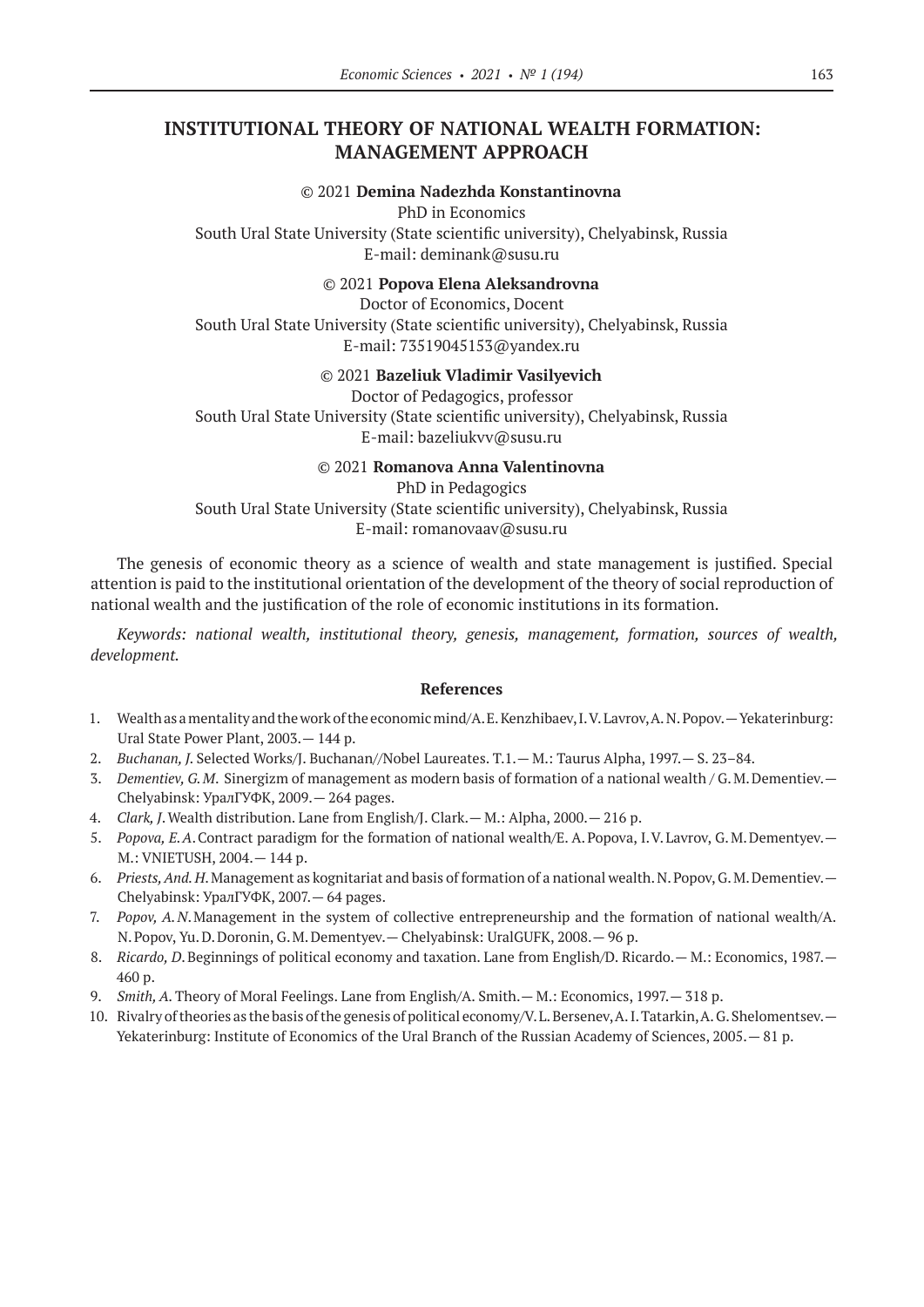### **INSTITUTIONAL THEORY OF NATIONAL WEALTH FORMATION: MANAGEMENT APPROACH**

### © 2021 **Demina Nadezhda Konstantinovna**

PhD in Economics South Ural State University (State scientific university), Chelyabinsk, Russia E-mail: deminank@susu.ru

© 2021 **Popova Elena Aleksandrovna**

Doctor of Economics, Docent South Ural State University (State scientific university), Chelyabinsk, Russia E-mail: 73519045153@yandex.ru

### © 2021 **Bazeliuk Vladimir Vasilyevich**

Doctor of Pedagogics, professor South Ural State University (State scientific university), Chelyabinsk, Russia E-mail: bazeliukvv@susu.ru

© 2021 **Romanova Anna Valentinovna**

PhD in Pedagogics South Ural State University (State scientific university), Chelyabinsk, Russia E-mail: romanovaav@susu.ru

The genesis of economic theory as a science of wealth and state management is justified. Special attention is paid to the institutional orientation of the development of the theory of social reproduction of national wealth and the justification of the role of economic institutions in its formation.

*Keywords: national wealth, institutional theory, genesis, management, formation, sources of wealth, development.*

- 1. Wealth as a mentality and the work of the economic mind/A. E.Kenzhibaev, I.V.Lavrov, A.N.Popov.—Yekaterinburg: Ural State Power Plant, 2003.— 144 p.
- 2. *Buchanan, J.* Selected Works/J. Buchanan//Nobel Laureates. Т.1.— M.: Taurus Alpha, 1997.— S. 23–84.
- 3. *Dementiev, G.M*. Sinergizm of management as modern basis of formation of a national wealth / G.M.Dementiev.— Chelyabinsk: УралГУФК, 2009.— 264 pages.
- 4. *Clark, J*.Wealth distribution. Lane from English/J. Clark.— M.: Alpha, 2000.— 216 p.
- 5. *Popova, E.A*.Contract paradigm for the formation of national wealth/E. A.Popova, I.V.Lavrov, G.M.Dementyev.— M.: VNIETUSH, 2004.— 144 p.
- 6. *Priests, And. H*.Management as kognitariat and basis of formation of a national wealth. N.Popov, G.M.Dementiev.— Chelyabinsk: УралГУФК, 2007.— 64 pages.
- 7. *Popov, A.N*.Management in the system of collective entrepreneurship and the formation of national wealth/A. N.Popov, Yu.D.Doronin, G.M.Dementyev.— Chelyabinsk: UralGUFK, 2008.— 96 p.
- 8. *Ricardo, D*.Beginnings of political economy and taxation. Lane from English/D. Ricardo.— M.: Economics, 1987.— 460 p.
- 9. *Smith, A.* Theory of Moral Feelings. Lane from English/A. Smith.— M.: Economics, 1997.— 318 p.
- 10. Rivalry of theories as the basis of the genesis of political economy/V.L.Bersenev, A.I.Tatarkin, A.G.Shelomentsev. Yekaterinburg: Institute of Economics of the Ural Branch of the Russian Academy of Sciences, 2005.— 81 p.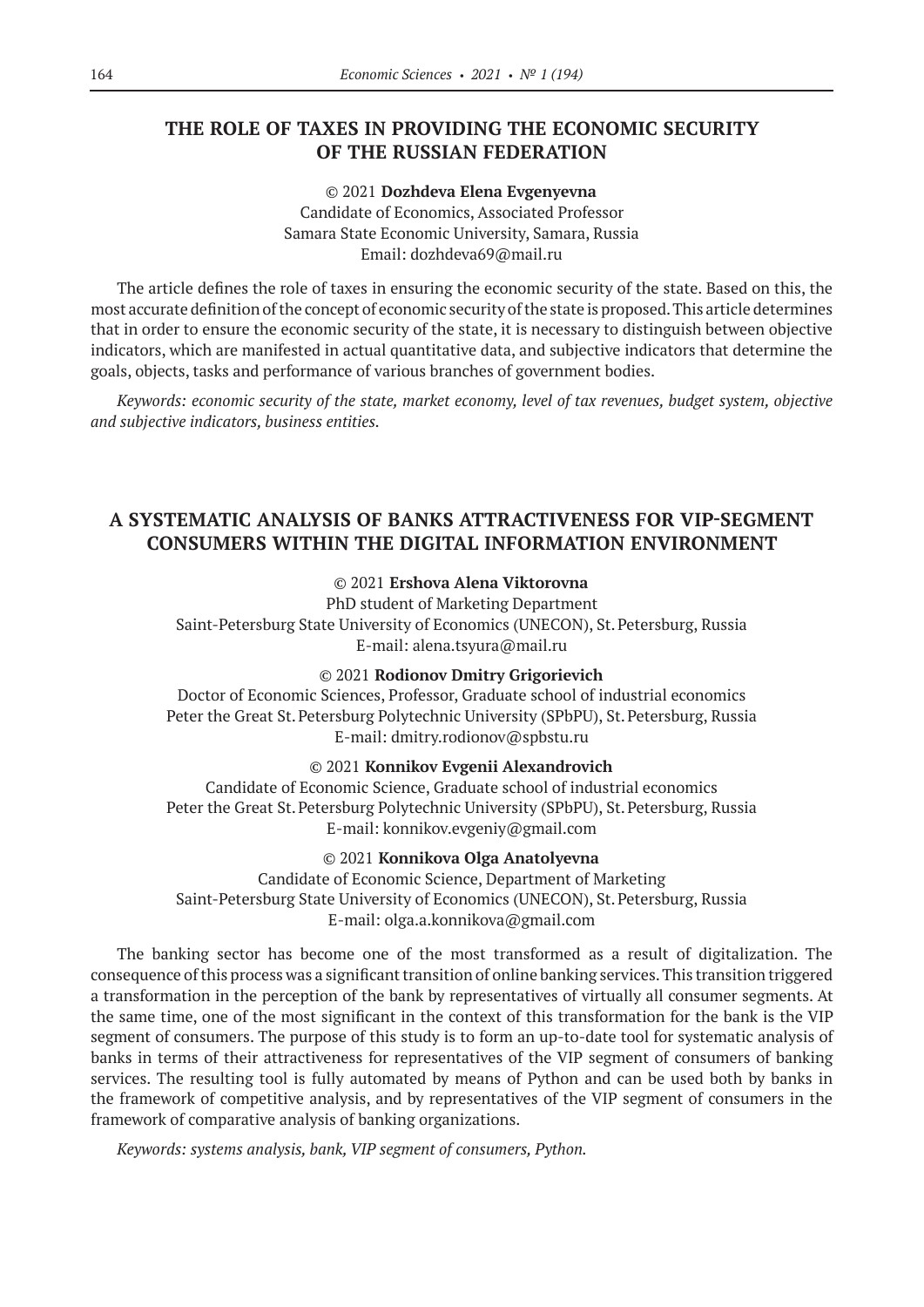### **THE ROLE OF TAXES IN PROVIDING THE ECONOMIC SECURITY OF THE RUSSIAN FEDERATION**

© 2021 **Dozhdeva Elena Evgenyevna** Candidate of Economics, Associated Professor Samara State Economic University, Samara, Russia Еmail: dozhdeva69@mail.ru

The article defines the role of taxes in ensuring the economic security of the state. Based on this, the most accurate definition of the concept of economic security of the state is proposed. This article determines that in order to ensure the economic security of the state, it is necessary to distinguish between objective indicators, which are manifested in actual quantitative data, and subjective indicators that determine the goals, objects, tasks and performance of various branches of government bodies.

*Keywords: economic security of the state, market economy, level of tax revenues, budget system, objective and subjective indicators, business entities.*

# **A SYSTEMATIC ANALYSIS OF BANKS ATTRACTIVENESS FOR VIP-SEGMENT CONSUMERS WITHIN THE DIGITAL INFORMATION ENVIRONMENT**

### © 2021 **Ershova Alena Viktorovna**

PhD student of Marketing Department Saint-Petersburg State University of Economics (UNECON), St.Petersburg, Russia E-mail: alena.tsyura@mail.ru

### © 2021 **Rodionov Dmitry Grigorievich**

Doctor of Economic Sciences, Professor, Graduate school of industrial economics Peter the Great St. Petersburg Polytechnic University (SPbPU), St. Petersburg, Russia E-mail: dmitry.rodionov@spbstu.ru

© 2021 **Konnikov Evgenii Alexandrovich**

Candidate of Economic Science, Graduate school of industrial economics Peter the Great St. Petersburg Polytechnic University (SPbPU), St. Petersburg, Russia E-mail: konnikov.evgeniy@gmail.com

© 2021 **Konnikova Olga Anatolyevna**

Candidate of Economic Science, Department of Marketing Saint-Petersburg State University of Economics (UNECON), St.Petersburg, Russia E-mail: olga.a.konnikova@gmail.com

The banking sector has become one of the most transformed as a result of digitalization. The consequence of this process was a significant transition of online banking services. This transition triggered a transformation in the perception of the bank by representatives of virtually all consumer segments. At the same time, one of the most significant in the context of this transformation for the bank is the VIP segment of consumers. The purpose of this study is to form an up-to-date tool for systematic analysis of banks in terms of their attractiveness for representatives of the VIP segment of consumers of banking services. The resulting tool is fully automated by means of Python and can be used both by banks in the framework of competitive analysis, and by representatives of the VIP segment of consumers in the framework of comparative analysis of banking organizations.

*Keywords: systems analysis, bank, VIP segment of consumers, Python.*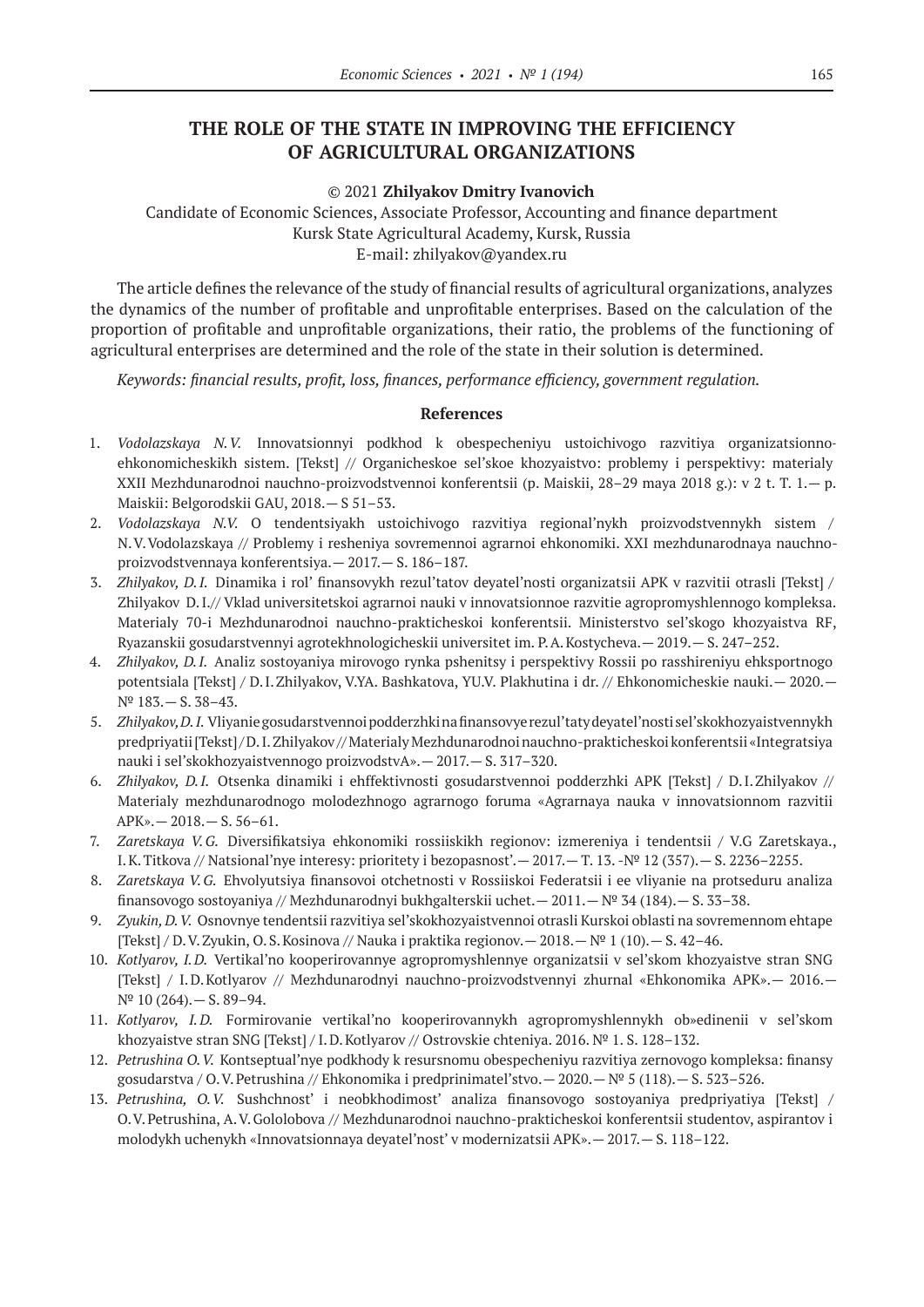# **THE ROLE OF THE STATE IN IMPROVING THE EFFICIENCY OF AGRICULTURAL ORGANIZATIONS**

#### © 2021 **Zhilyakov Dmitry Ivanovich**

Candidate of Economic Sciences, Associate Professor, Аccounting and finance department Kursk State Agricultural Academy, Kursk, Russia E-mail: zhilyakov@yandex.ru

The article defines the relevance of the study of financial results of agricultural organizations, analyzes the dynamics of the number of profitable and unprofitable enterprises. Based on the calculation of the proportion of profitable and unprofitable organizations, their ratio, the problems of the functioning of agricultural enterprises are determined and the role of the state in their solution is determined.

*Keywords: financial results, profit, loss, finances, performance efficiency, government regulation.*

- 1. *Vodolazskaya N.V.* Innovatsionnyi podkhod k obespecheniyu ustoichivogo razvitiya organizatsionnoehkonomicheskikh sistem. [Tekst] // Organicheskoe sel'skoe khozyaistvo: problemy i perspektivy: materialy XXII Mezhdunarodnoi nauchno-proizvodstvennoi konferentsii (p. Maiskii, 28–29 maya 2018 g.): v 2 t. T. 1.— p. Maiskii: Belgorodskii GAU, 2018.— S 51–53.
- 2. *Vodolazskaya N.V.* O tendentsiyakh ustoichivogo razvitiya regional'nykh proizvodstvennykh sistem / N.V.Vodolazskaya // Problemy i resheniya sovremennoi agrarnoi ehkonomiki. XXI mezhdunarodnaya nauchnoproizvodstvennaya konferentsiya.— 2017.— S. 186–187.
- 3. *Zhilyakov, D.I.* Dinamika i rol' finansovykh rezul'tatov deyatel'nosti organizatsii APK v razvitii otrasli [Tekst] / Zhilyakov D.I.// Vklad universitetskoi agrarnoi nauki v innovatsionnoe razvitie agropromyshlennogo kompleksa. Materialy 70‑i Mezhdunarodnoi nauchno-prakticheskoi konferentsii. Ministerstvo sel'skogo khozyaistva RF, Ryazanskii gosudarstvennyi agrotekhnologicheskii universitet im. P.A.Kostycheva.— 2019.— S. 247–252.
- 4. *Zhilyakov, D.I.* Analiz sostoyaniya mirovogo rynka pshenitsy i perspektivy Rossii po rasshireniyu ehksportnogo potentsiala [Tekst] / D.I.Zhilyakov, V.YA. Bashkatova, YU.V. Plakhutina i dr. // Ehkonomicheskie nauki.— 2020.— № 183.— S. 38–43.
- 5. *Zhilyakov, D.I.* Vliyanie gosudarstvennoi podderzhki na finansovye rezul'taty deyatel'nosti sel'skokhozyaistvennykh predpriyatii [Tekst] / D.I.Zhilyakov // Materialy Mezhdunarodnoi nauchno-prakticheskoi konferentsii «Integratsiya nauki i sel'skokhozyaistvennogo proizvodstvA».— 2017.— S. 317–320.
- 6. *Zhilyakov, D.I.* Otsenka dinamiki i ehffektivnosti gosudarstvennoi podderzhki APK [Tekst] / D.I.Zhilyakov // Materialy mezhdunarodnogo molodezhnogo agrarnogo foruma «Agrarnaya nauka v innovatsionnom razvitii APK».— 2018.— S. 56–61.
- 7. *Zaretskaya V.G.* Diversifikatsiya ehkonomiki rossiiskikh regionov: izmereniya i tendentsii / V.G Zaretskaya., I.K.Titkova // Natsional'nye interesy: prioritety i bezopasnost'.— 2017.— T. 13. -№ 12 (357).— S. 2236–2255.
- 8. *Zaretskaya V.G.* Ehvolyutsiya finansovoi otchetnosti v Rossiiskoi Federatsii i ee vliyanie na protseduru analiza finansovogo sostoyaniya // Mezhdunarodnyi bukhgalterskii uchet.— 2011.—№ 34 (184).— S. 33–38.
- 9. *Zyukin, D.V.* Osnovnye tendentsii razvitiya sel'skokhozyaistvennoi otrasli Kurskoi oblasti na sovremennom ehtape [Tekst] / D.V.Zyukin, O.S. Kosinova // Nauka i praktika regionov. — 2018. —  $N^{\circ}$  1 (10). — S. 42–46.
- 10. *Kotlyarov, I.D.* Vertikal'no kooperirovannye agropromyshlennye organizatsii v sel'skom khozyaistve stran SNG [Tekst] / I.D.Kotlyarov // Mezhdunarodnyi nauchno-proizvodstvennyi zhurnal «Ehkonomika APK».— 2016.—  $N^{\circ}$  10 (264). - S. 89-94.
- 11. *Kotlyarov, I.D.* Formirovanie vertikal'no kooperirovannykh agropromyshlennykh ob»edinenii v sel'skom khozyaistve stran SNG [Tekst] / I.D.Kotlyarov // Ostrovskie chteniya. 2016. № 1. S. 128–132.
- 12. *Petrushina O.V.* Kontseptual'nye podkhody k resursnomu obespecheniyu razvitiya zernovogo kompleksa: finansy gosudarstva / O.V.Petrushina // Ehkonomika i predprinimatel'stvo.— 2020.—  $N^{\circ}$  5 (118).— S. 523–526.
- 13. *Petrushina, O.V.* Sushchnost' i neobkhodimost' analiza finansovogo sostoyaniya predpriyatiya [Tekst] / O.V.Petrushina, A.V.Gololobova // Mezhdunarodnoi nauchno-prakticheskoi konferentsii studentov, aspirantov i molodykh uchenykh «Innovatsionnaya deyatel'nost' v modernizatsii APK».— 2017.— S. 118–122.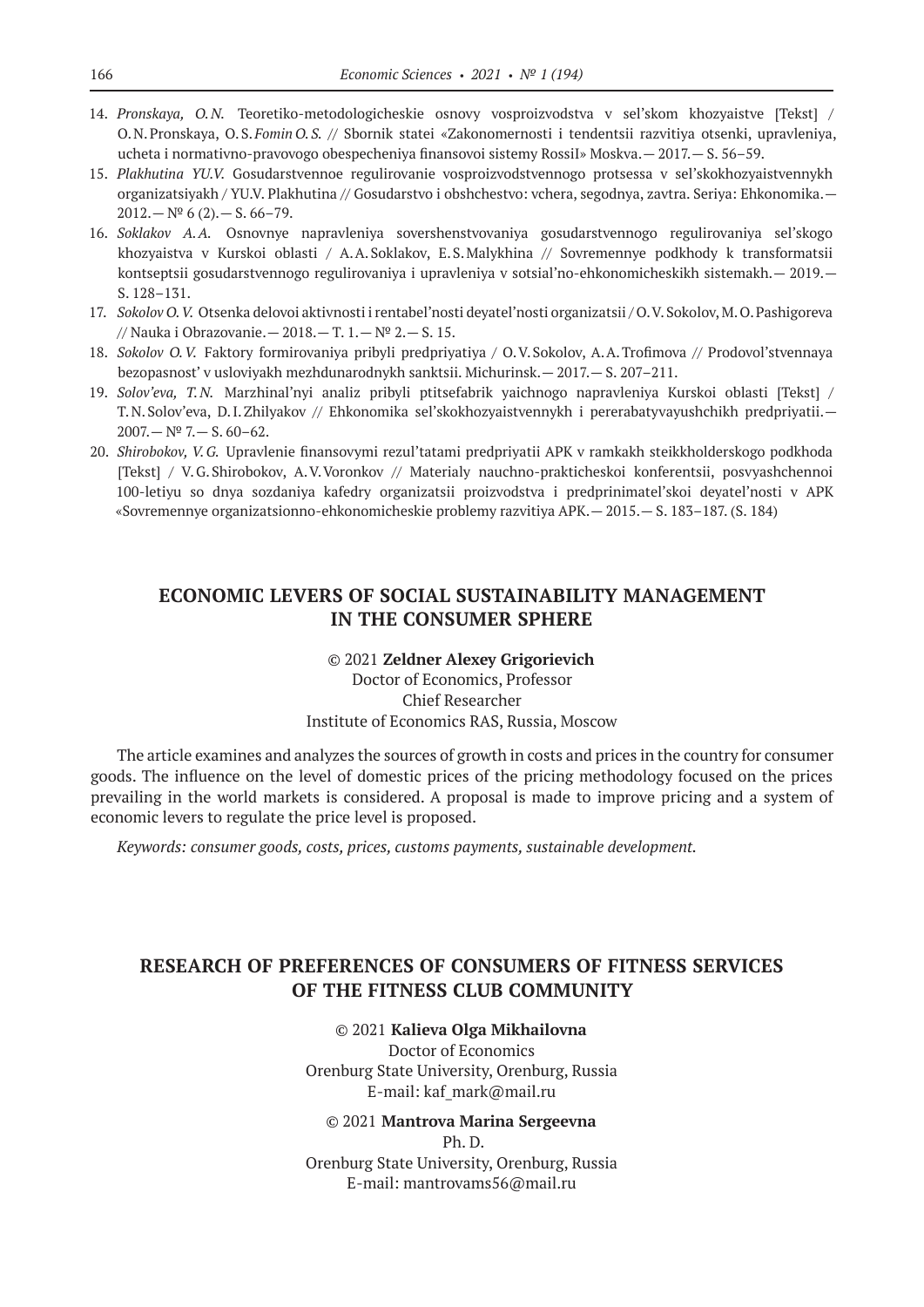- 14. *Pronskaya, O.N.* Teoretiko-metodologicheskie osnovy vosproizvodstva v sel'skom khozyaistve [Tekst] / O.N.Pronskaya, O.S.*Fomin O.S.* // Sbornik statei «Zakonomernosti i tendentsii razvitiya otsenki, upravleniya, ucheta i normativno-pravovogo obespecheniya finansovoi sistemy RossiI» Moskva.— 2017.— S. 56–59.
- 15. *Plakhutina YU.V.* Gosudarstvennoe regulirovanie vosproizvodstvennogo protsessa v sel'skokhozyaistvennykh organizatsiyakh / YU.V. Plakhutina // Gosudarstvo i obshchestvo: vchera, segodnya, zavtra. Seriya: Ehkonomika.—  $2012 - N^{\circ} 6(2) - S. 66 - 79.$
- 16. *Soklakov A.A.* Osnovnye napravleniya sovershenstvovaniya gosudarstvennogo regulirovaniya sel'skogo khozyaistva v Kurskoi oblasti / A.A.Soklakov, E.S.Malykhina // Sovremennye podkhody k transformatsii kontseptsii gosudarstvennogo regulirovaniya i upravleniya v sotsial'no-ehkonomicheskikh sistemakh.— 2019.— S. 128–131.
- 17. *Sokolov O.V.* Otsenka delovoi aktivnosti i rentabel'nosti deyatel'nosti organizatsii / O.V.Sokolov, M.O.Pashigoreva // Nauka i Obrazovanie.— 2018.— T. 1.—№ 2.— S. 15.
- 18. *Sokolov O.V.* Faktory formirovaniya pribyli predpriyatiya / O.V.Sokolov, A.A.Trofimova // Prodovol'stvennaya bezopasnost' v usloviyakh mezhdunarodnykh sanktsii. Michurinsk.— 2017.— S. 207–211.
- 19. *Solov'eva, T.N.* Marzhinal'nyi analiz pribyli ptitsefabrik yaichnogo napravleniya Kurskoi oblasti [Tekst] / T.N.Solov'eva, D.I.Zhilyakov // Ehkonomika sel'skokhozyaistvennykh i pererabatyvayushchikh predpriyatii.—  $2007 - N^{\circ}$  7. - S. 60-62.
- 20. *Shirobokov, V.G.* Upravlenie finansovymi rezul'tatami predpriyatii APK v ramkakh steikkholderskogo podkhoda [Tekst] / V.G.Shirobokov, A.V.Voronkov // Materialy nauchno-prakticheskoi konferentsii, posvyashchennoi 100‑letiyu so dnya sozdaniya kafedry organizatsii proizvodstva i predprinimatel'skoi deyatel'nosti v APK «Sovremennye organizatsionno-ehkonomicheskie problemy razvitiya APK.— 2015.— S. 183–187. (S. 184)

### **ECONOMIC LEVERS OF SOCIAL SUSTAINABILITY MANAGEMENT IN THE CONSUMER SPHERE**

### © 2021 **Zeldner Alexey Grigorievich** Doctor of Economics, Professor Chief Researcher Institute of Economics RAS, Russia, Moscow

The article examines and analyzes the sources of growth in costs and prices in the country for consumer goods. The influence on the level of domestic prices of the pricing methodology focused on the prices prevailing in the world markets is considered. A proposal is made to improve pricing and a system of economic levers to regulate the price level is proposed.

*Keywords: consumer goods, costs, prices, customs payments, sustainable development.*

# **RESEARCH OF PREFERENCES OF CONSUMERS OF FITNESS SERVICES OF THE FITNESS CLUB COMMUNITY**

### © 2021 **Kalieva Olga Mikhailovna**

Doctor of Economics Orenburg State University, Orenburg, Russia E-mail: kaf\_mark@mail.ru

#### © 2021 **Mantrova Marina Sergeevna** Ph. D.

Orenburg State University, Orenburg, Russia E-mail: mantrovams56@mail.ru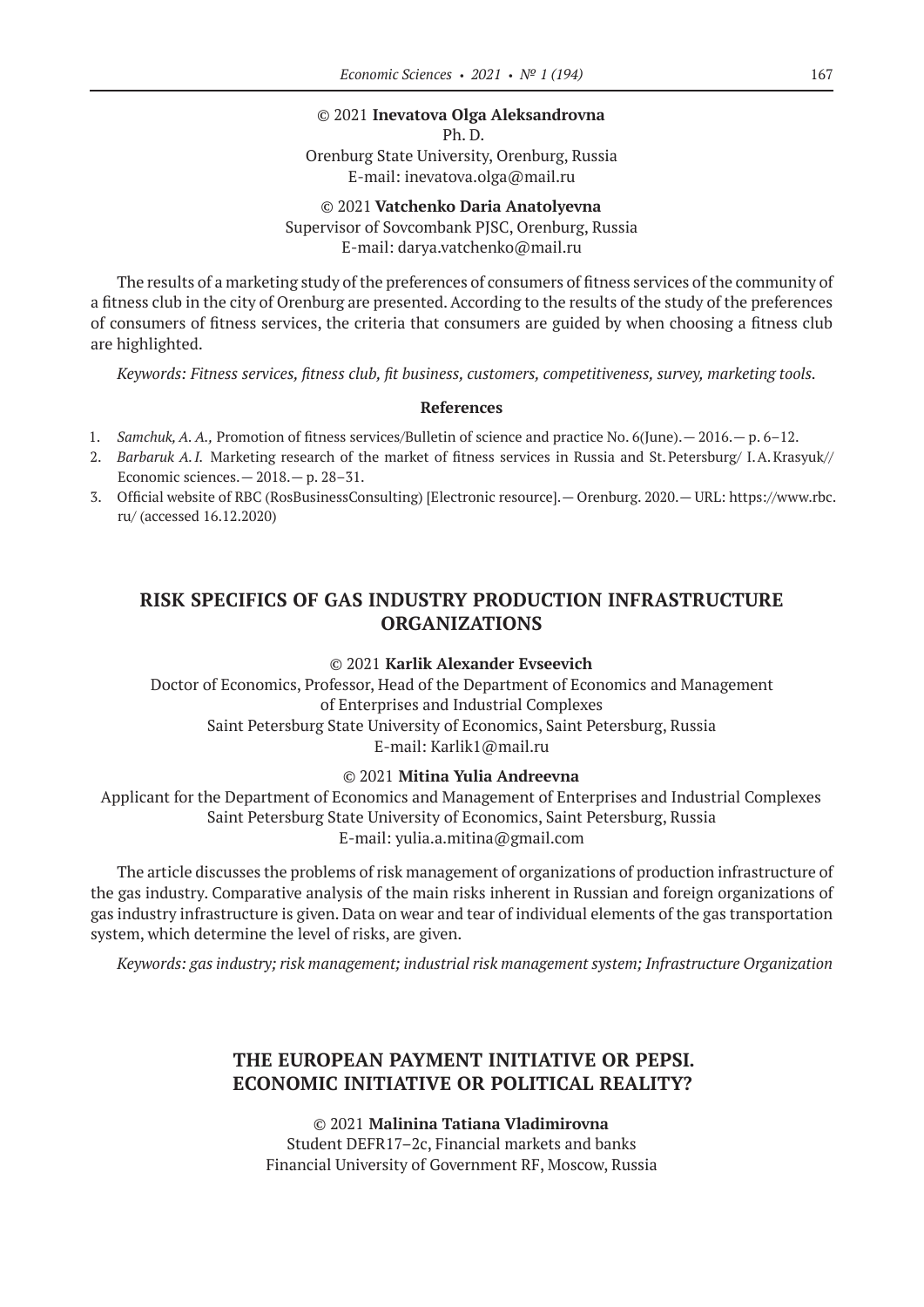### © 2021 **Inevatova Olga Aleksandrovna**

Ph. D.

Orenburg State University, Orenburg, Russia E-mail: inevatova.olga@mail.ru

© 2021 **Vatchenko Daria Anatolyevna** Supervisor of Sovcombank PJSC, Orenburg, Russia E-mail: darya.vatchenko@mail.ru

The results of a marketing study of the preferences of consumers of fitness services of the community of a fitness club in the city of Orenburg are presented. According to the results of the study of the preferences of consumers of fitness services, the criteria that consumers are guided by when choosing a fitness club are highlighted.

*Keywords: Fitness services, fitness club, fit business, customers, competitiveness, survey, marketing tools.*

#### **References**

- 1. *Samchuk, A. A.,* Promotion of fitness services/Bulletin of science and practice No. 6(June).— 2016.— p. 6–12.
- 2. *Barbaruk A.I.* Marketing research of the market of fitness services in Russia and St. Petersburg/ I.A.Krasyuk// Economic sciences.— 2018.— p. 28–31.
- 3. Official website of RBC (RosBusinessConsulting) [Electronic resource].— Orenburg. 2020.— URL: https://www.rbc. ru/ (accessed 16.12.2020)

### **RISK SPECIFICS OF GAS INDUSTRY PRODUCTION INFRASTRUCTURE ORGANIZATIONS**

### © 2021 **Karlik Alexander Evseevich**

Doctor of Economics, Professor, Head of the Department of Economics and Management of Enterprises and Industrial Complexes Saint Petersburg State University of Economics, Saint Petersburg, Russia E-mail: Karlik1@mail.ru

### © 2021 **Mitina Yulia Andreevna**

Applicant for the Department of Economics and Management of Enterprises and Industrial Complexes Saint Petersburg State University of Economics, Saint Petersburg, Russia E-mail: yulia.a.mitina@gmail.com

The article discusses the problems of risk management of organizations of production infrastructure of the gas industry. Comparative analysis of the main risks inherent in Russian and foreign organizations of gas industry infrastructure is given. Data on wear and tear of individual elements of the gas transportation system, which determine the level of risks, are given.

*Keywords: gas industry; risk management; industrial risk management system; Infrastructure Organization*

### **THE EUROPEAN PAYMENT INITIATIVE OR PEPSI. ECONOMIC INITIATIVE OR POLITICAL REALITY?**

© 2021 **Malinina Tatiana Vladimirovna** Student DEFR17–2c, Financial markets and banks Financial University of Government RF, Moscow, Russia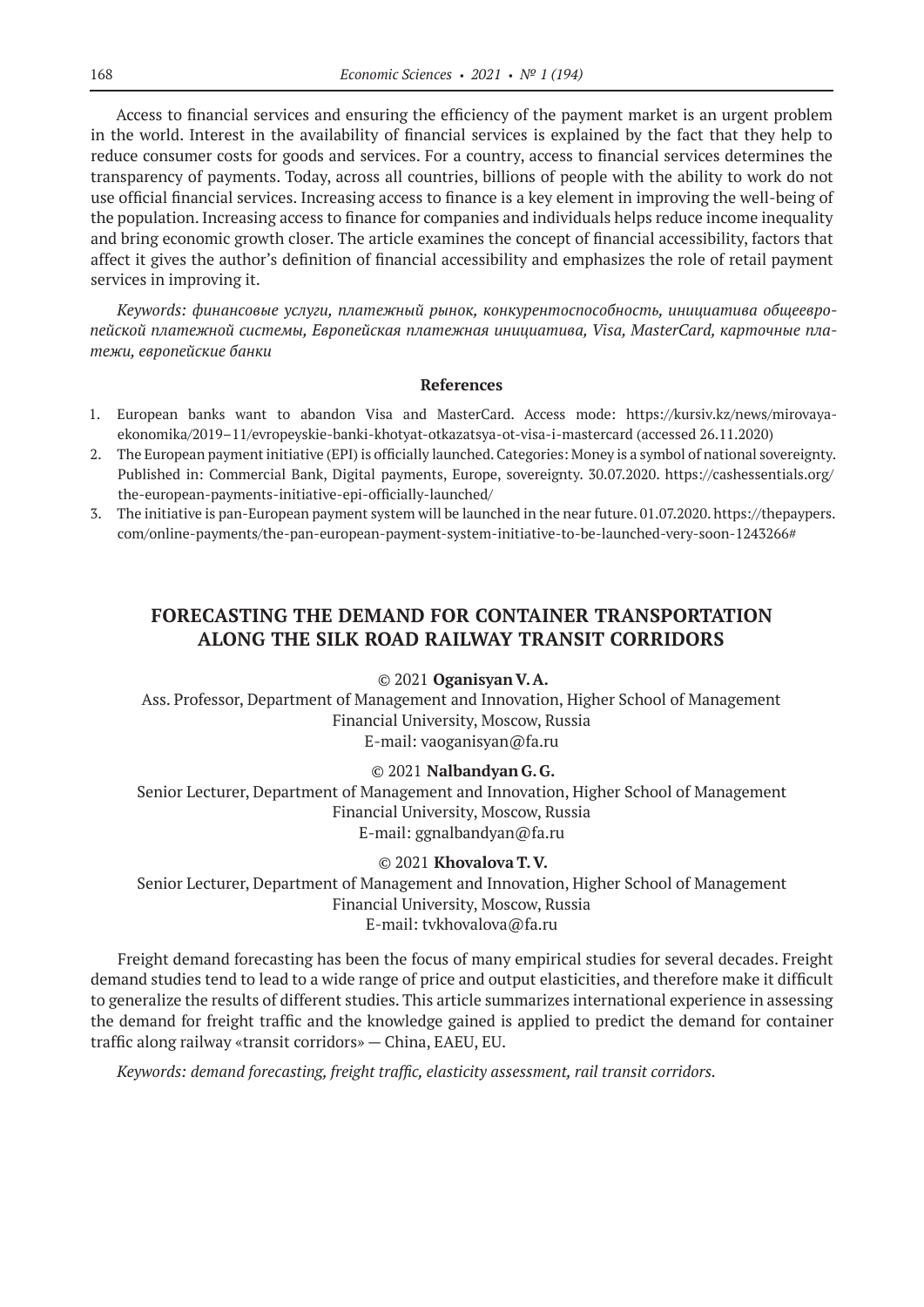Access to financial services and ensuring the efficiency of the payment market is an urgent problem in the world. Interest in the availability of financial services is explained by the fact that they help to reduce consumer costs for goods and services. For a country, access to financial services determines the transparency of payments. Today, across all countries, billions of people with the ability to work do not use official financial services. Increasing access to finance is a key element in improving the well-being of the population. Increasing access to finance for companies and individuals helps reduce income inequality and bring economic growth closer. The article examines the concept of financial accessibility, factors that affect it gives the author's definition of financial accessibility and emphasizes the role of retail payment services in improving it.

*Keywords: финансовые услуги, платежный рынок, конкурентоспособность, инициатива общеевропейской платежной системы, Европейская платежная инициатива, Visa, MasterCard, карточные платежи, европейские банки*

#### **References**

- 1. European banks want to abandon Visa and MasterCard. Access mode: https://kursiv.kz/news/mirovayaekonomika/2019–11/evropeyskie-banki-khotyat-otkazatsya-ot-visa-i-mastercard (accessed 26.11.2020)
- 2. The European payment initiative (EPI) is officially launched. Categories: Money is a symbol of national sovereignty. Published in: Commercial Bank, Digital payments, Europe, sovereignty. 30.07.2020. https://cashessentials.org/ the-european-payments-initiative-epi-officially-launched/
- 3. The initiative is pan-European payment system will be launched in the near future. 01.07.2020. https://thepaypers. com/online-payments/the-pan-european-payment-system-initiative-to-be-launched-very-soon-1243266#

## **FORECASTING THE DEMAND FOR CONTAINER TRANSPORTATION ALONG THE SILK ROAD RAILWAY TRANSIT CORRIDORS**

### © 2021 **Oganisyan V.A.**

Ass. Professor, Department of Management and Innovation, Higher School of Management Financial University, Moscow, Russia E-mail: vaoganisyan@fa.ru

### © 2021 **Nalbandyan G.G.**

Senior Lecturer, Department of Management and Innovation, Higher School of Management Financial University, Moscow, Russia E-mail: ggnalbandyan@fa.ru

# © 2021 **Khovalova T.V.** Senior Lecturer, Department of Management and Innovation, Higher School of Management

Financial University, Moscow, Russia E-mail: tvkhovalova@fa.ru

Freight demand forecasting has been the focus of many empirical studies for several decades. Freight demand studies tend to lead to a wide range of price and output elasticities, and therefore make it difficult to generalize the results of different studies. This article summarizes international experience in assessing the demand for freight traffic and the knowledge gained is applied to predict the demand for container traffic along railway «transit corridors» — China, EAEU, EU.

*Keywords: demand forecasting, freight traffic, elasticity assessment, rail transit corridors.*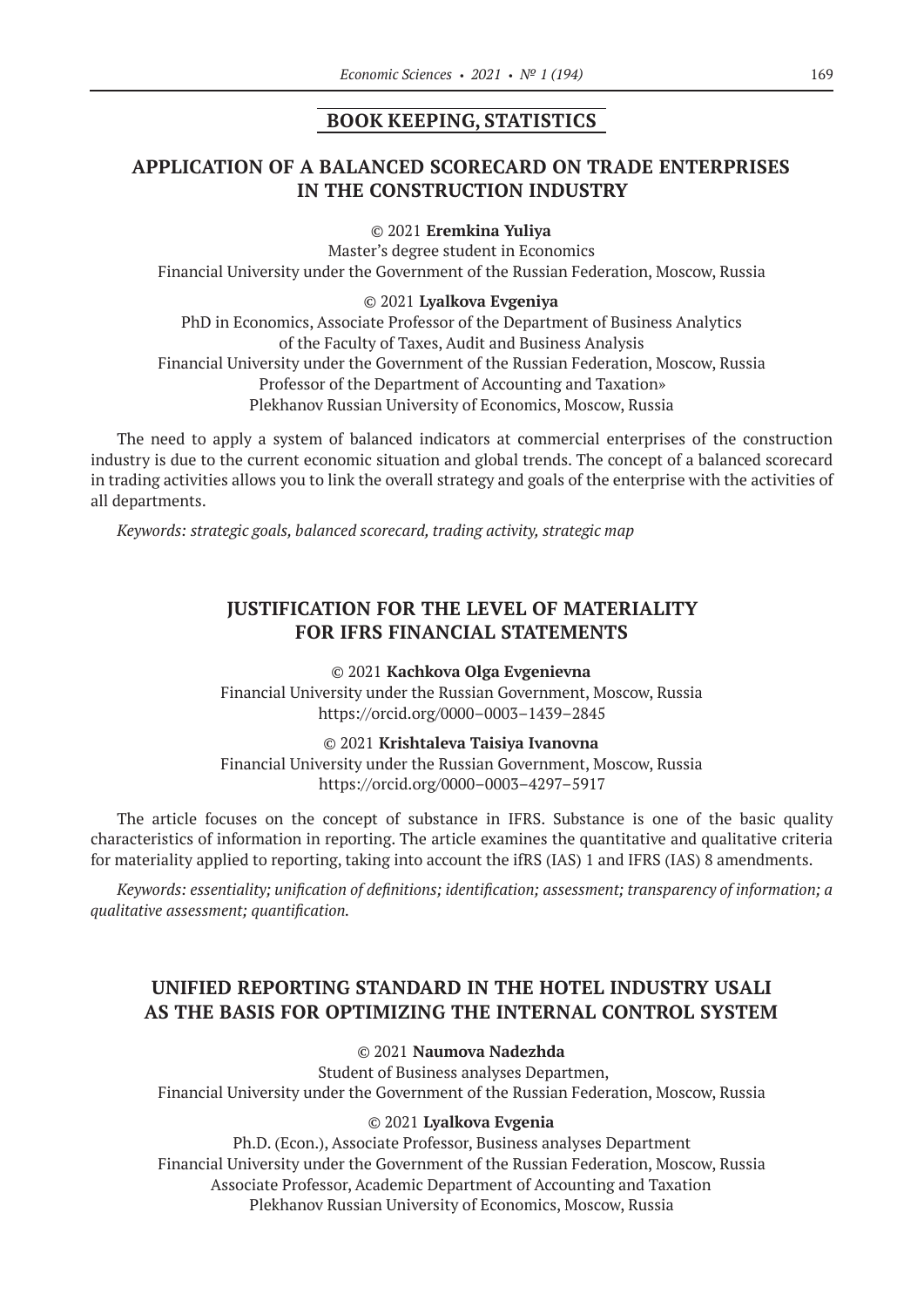### **BOOK KEEPING, STATISTICS**

# **APPLICATION OF A BALANCED SCORECARD ON TRADE ENTERPRISES IN THE CONSTRUCTION INDUSTRY**

#### © 2021 **Eremkina Yuliya**

Master's degree student in Economics Financial University under the Government of the Russian Federation, Moscow, Russia

### © 2021 **Lyalkova Evgeniya**

PhD in Economics, Associate Professor of the Department of Business Analytics of the Faculty of Taxes, Audit and Business Analysis Financial University under the Government of the Russian Federation, Moscow, Russia Professor of the Department of Accounting and Taxation» Plekhanov Russian University of Economics, Moscow, Russia

The need to apply a system of balanced indicators at commercial enterprises of the construction industry is due to the current economic situation and global trends. The concept of a balanced scorecard in trading activities allows you to link the overall strategy and goals of the enterprise with the activities of all departments.

*Keywords: strategic goals, balanced scorecard, trading activity, strategic map*

# **JUSTIFICATION FOR THE LEVEL OF MATERIALITY FOR IFRS FINANCIAL STATEMENTS**

© 2021 **Kachkova Olga Evgenievna** Financial University under the Russian Government, Moscow, Russia https://orcid.org/0000–0003–1439–2845

© 2021 **Krishtaleva Taisiya Ivanovna**

Financial University under the Russian Government, Moscow, Russia https://orcid.org/0000–0003–4297–5917

The article focuses on the concept of substance in IFRS. Substance is one of the basic quality characteristics of information in reporting. The article examines the quantitative and qualitative criteria for materiality applied to reporting, taking into account the ifRS (IAS) 1 and IFRS (IAS) 8 amendments.

*Keywords: essentiality; unification of definitions; identification; assessment; transparency of information; a qualitative assessment; quantification.*

# **UNIFIED REPORTING STANDARD IN THE HOTEL INDUSTRY USALI AS THE BASIS FOR OPTIMIZING THE INTERNAL CONTROL SYSTEM**

© 2021 **Naumova Nadezhda**

Student of Business analyses Departmen, Financial University under the Government of the Russian Federation, Moscow, Russia

### © 2021 **Lyalkova Evgenia**

Ph.D. (Econ.), Associate Professor, Business analyses Department Financial University under the Government of the Russian Federation, Moscow, Russia Associate Professor, Academic Department of Accounting and Taxation Plekhanov Russian University of Economics, Moscow, Russia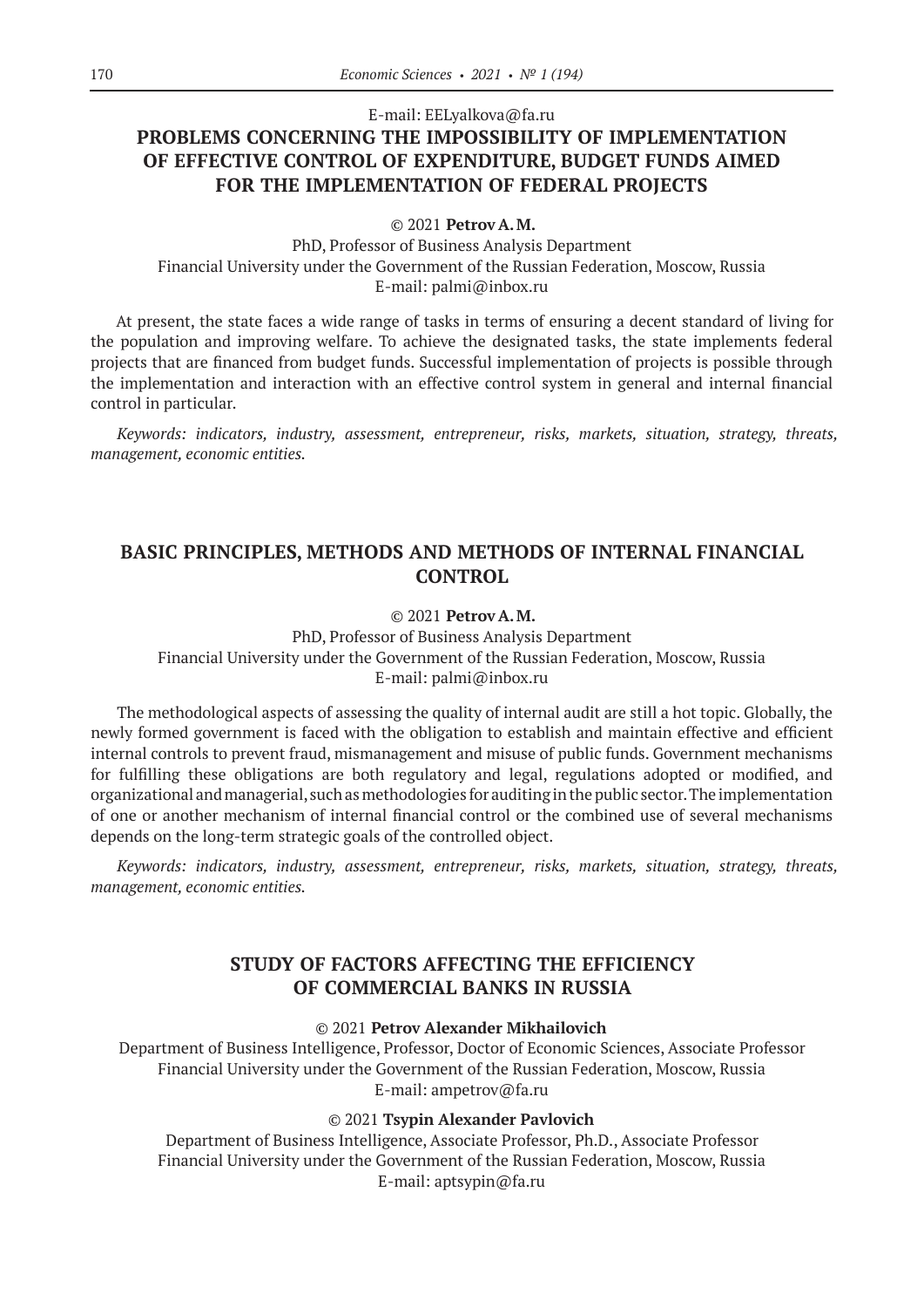# E-mail: EELyalkova@fa.ru **PROBLEMS CONCERNING THE IMPOSSIBILITY OF IMPLEMENTATION OF EFFECTIVE CONTROL OF EXPENDITURE, BUDGET FUNDS AIMED FOR THE IMPLEMENTATION OF FEDERAL PROJECTS**

© 2021 **Petrov A.M.**

PhD, Professor of Business Analysis Department Financial University under the Government of the Russian Federation, Moscow, Russia E-mail: palmi@inbox.ru

At present, the state faces a wide range of tasks in terms of ensuring a decent standard of living for the population and improving welfare. To achieve the designated tasks, the state implements federal projects that are financed from budget funds. Successful implementation of projects is possible through the implementation and interaction with an effective control system in general and internal financial control in particular.

*Keywords: indicators, industry, assessment, entrepreneur, risks, markets, situation, strategy, threats, management, economic entities.*

### **BASIC PRINCIPLES, METHODS AND METHODS OF INTERNAL FINANCIAL CONTROL**

### © 2021 **Petrov A.M.**

PhD, Professor of Business Analysis Department Financial University under the Government of the Russian Federation, Moscow, Russia E-mail: palmi@inbox.ru

The methodological aspects of assessing the quality of internal audit are still a hot topic. Globally, the newly formed government is faced with the obligation to establish and maintain effective and efficient internal controls to prevent fraud, mismanagement and misuse of public funds. Government mechanisms for fulfilling these obligations are both regulatory and legal, regulations adopted or modified, and organizational and managerial, such as methodologies for auditing in the public sector. The implementation of one or another mechanism of internal financial control or the combined use of several mechanisms depends on the long-term strategic goals of the controlled object.

*Keywords: indicators, industry, assessment, entrepreneur, risks, markets, situation, strategy, threats, management, economic entities.*

### **STUDY OF FACTORS AFFECTING THE EFFICIENCY OF COMMERCIAL BANKS IN RUSSIA**

© 2021 **Petrov Alexander Mikhailovich**

Department of Business Intelligence, Professor, Doctor of Economic Sciences, Associate Professor Financial University under the Government of the Russian Federation, Moscow, Russia E-mail: ampetrov@fa.ru

### © 2021 **Tsypin Alexander Pavlovich**

Department of Business Intelligence, Associate Professor, Ph.D., Associate Professor Financial University under the Government of the Russian Federation, Moscow, Russia E-mail: aptsypin@fa.ru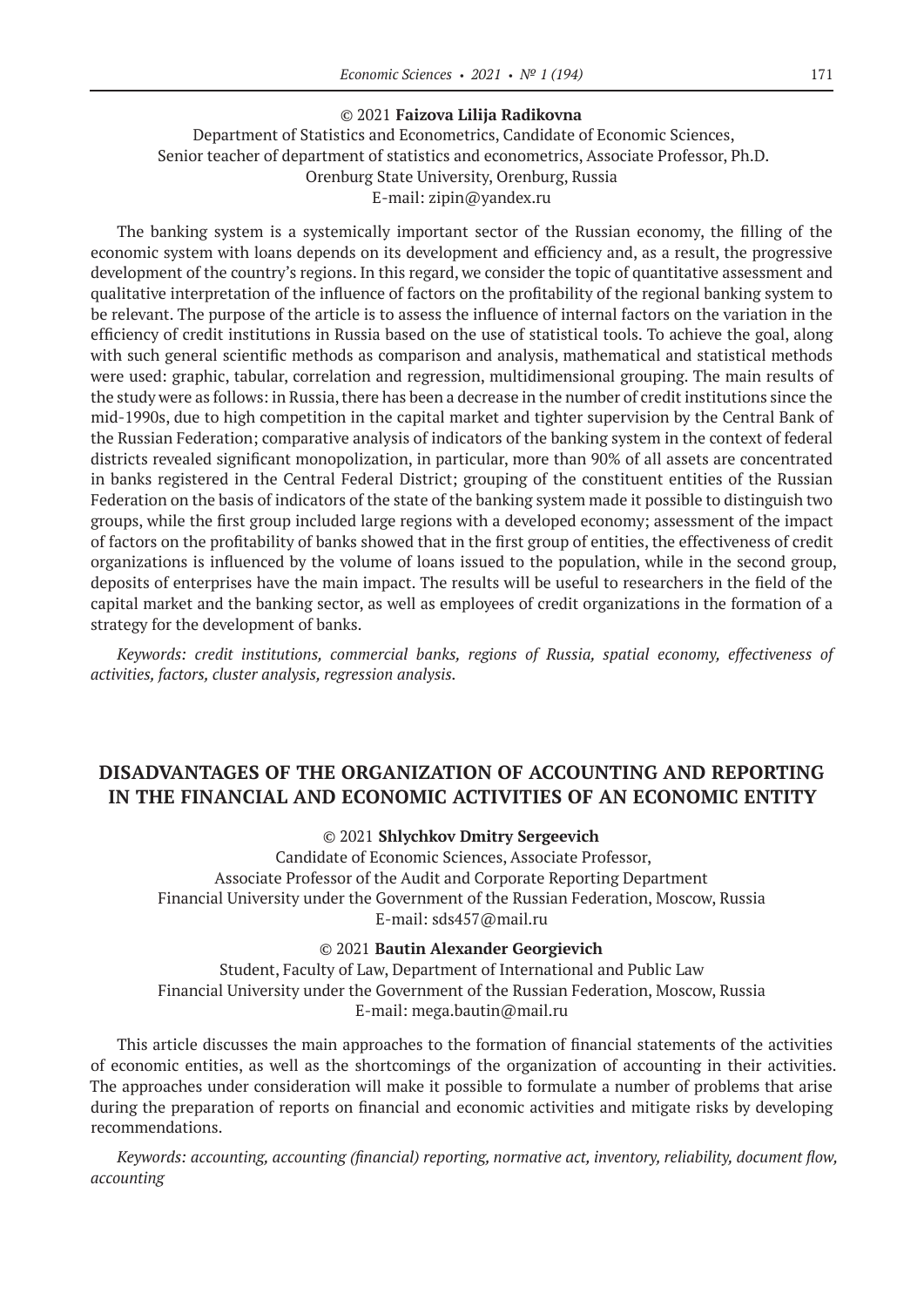#### © 2021 **Faizova Lilija Radikovna**

Department of Statistics and Econometrics, Candidate of Economic Sciences, Senior teacher of department of statistics and econometrics, Associate Professor, Ph.D. Orenburg State University, Orenburg, Russia E-mail: zipin@yandex.ru

The banking system is a systemically important sector of the Russian economy, the filling of the economic system with loans depends on its development and efficiency and, as a result, the progressive development of the country's regions. In this regard, we consider the topic of quantitative assessment and qualitative interpretation of the influence of factors on the profitability of the regional banking system to be relevant. The purpose of the article is to assess the influence of internal factors on the variation in the efficiency of credit institutions in Russia based on the use of statistical tools. To achieve the goal, along with such general scientific methods as comparison and analysis, mathematical and statistical methods were used: graphic, tabular, correlation and regression, multidimensional grouping. The main results of the study were as follows: in Russia, there has been a decrease in the number of credit institutions since the mid‑1990s, due to high competition in the capital market and tighter supervision by the Central Bank of the Russian Federation; comparative analysis of indicators of the banking system in the context of federal districts revealed significant monopolization, in particular, more than 90% of all assets are concentrated in banks registered in the Central Federal District; grouping of the constituent entities of the Russian Federation on the basis of indicators of the state of the banking system made it possible to distinguish two groups, while the first group included large regions with a developed economy; assessment of the impact of factors on the profitability of banks showed that in the first group of entities, the effectiveness of credit organizations is influenced by the volume of loans issued to the population, while in the second group, deposits of enterprises have the main impact. The results will be useful to researchers in the field of the capital market and the banking sector, as well as employees of credit organizations in the formation of a strategy for the development of banks.

*Keywords: credit institutions, commercial banks, regions of Russia, spatial economy, effectiveness of activities, factors, cluster analysis, regression analysis.*

# **DISADVANTAGES OF THE ORGANIZATION OF ACCOUNTING AND REPORTING IN THE FINANCIAL AND ECONOMIC ACTIVITIES OF AN ECONOMIC ENTITY**

### © 2021 **Shlychkov Dmitry Sergeevich**

Candidate of Economic Sciences, Associate Professor, Associate Professor of the Audit and Corporate Reporting Department Financial University under the Government of the Russian Federation, Moscow, Russia E-mail: sds457@mail.ru

#### © 2021 **Bautin Alexander Georgievich**

Student, Faculty of Law, Department of International and Public Law Financial University under the Government of the Russian Federation, Moscow, Russia E-mail: mega.bautin@mail.ru

This article discusses the main approaches to the formation of financial statements of the activities of economic entities, as well as the shortcomings of the organization of accounting in their activities. The approaches under consideration will make it possible to formulate a number of problems that arise during the preparation of reports on financial and economic activities and mitigate risks by developing recommendations.

*Keywords: accounting, accounting (financial) reporting, normative act, inventory, reliability, document flow, accounting*